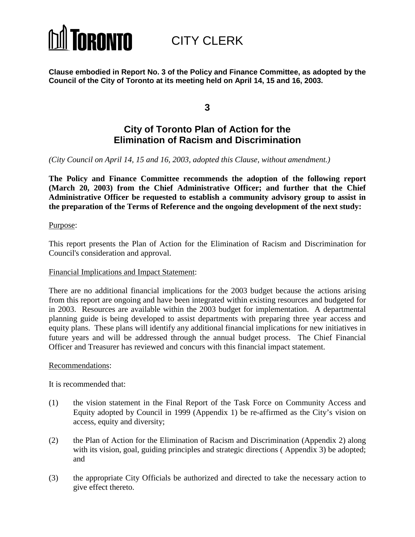

CITY CLERK

**Clause embodied in Report No. 3 of the Policy and Finance Committee, as adopted by the Council of the City of Toronto at its meeting held on April 14, 15 and 16, 2003.**

**3**

# **City of Toronto Plan of Action for the Elimination of Racism and Discrimination**

*(City Council on April 14, 15 and 16, 2003, adopted this Clause, without amendment.)*

**The Policy and Finance Committee recommends the adoption of the following report (March 20, 2003) from the Chief Administrative Officer; and further that the Chief Administrative Officer be requested to establish a community advisory group to assist in the preparation of the Terms of Reference and the ongoing development of the next study:**

Purpose:

This report presents the Plan of Action for the Elimination of Racism and Discrimination for Council's consideration and approval.

#### Financial Implications and Impact Statement:

There are no additional financial implications for the 2003 budget because the actions arising from this report are ongoing and have been integrated within existing resources and budgeted for in 2003. Resources are available within the 2003 budget for implementation. A departmental planning guide is being developed to assist departments with preparing three year access and equity plans. These plans will identify any additional financial implications for new initiatives in future years and will be addressed through the annual budget process. The Chief Financial Officer and Treasurer has reviewed and concurs with this financial impact statement.

#### Recommendations:

It is recommended that:

- (1) the vision statement in the Final Report of the Task Force on Community Access and Equity adopted by Council in 1999 (Appendix 1) be re-affirmed as the City's vision on access, equity and diversity;
- (2) the Plan of Action for the Elimination of Racism and Discrimination (Appendix 2) along with its vision, goal, guiding principles and strategic directions (Appendix 3) be adopted; and
- (3) the appropriate City Officials be authorized and directed to take the necessary action to give effect thereto.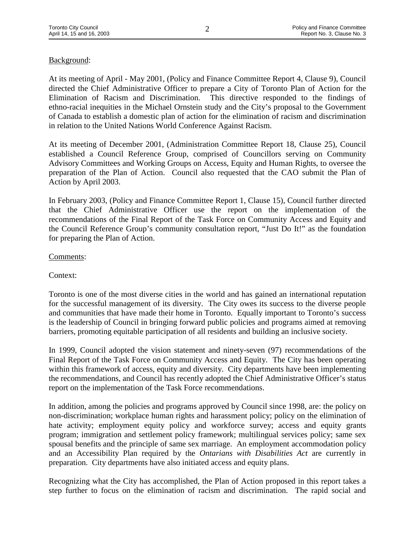# Background:

At its meeting of April - May 2001, (Policy and Finance Committee Report 4, Clause 9), Council directed the Chief Administrative Officer to prepare a City of Toronto Plan of Action for the Elimination of Racism and Discrimination. This directive responded to the findings of ethno-racial inequities in the Michael Ornstein study and the City's proposal to the Government of Canada to establish a domestic plan of action for the elimination of racism and discrimination in relation to the United Nations World Conference Against Racism.

At its meeting of December 2001, (Administration Committee Report 18, Clause 25), Council established a Council Reference Group, comprised of Councillors serving on Community Advisory Committees and Working Groups on Access, Equity and Human Rights, to oversee the preparation of the Plan of Action. Council also requested that the CAO submit the Plan of Action by April 2003.

In February 2003, (Policy and Finance Committee Report 1, Clause 15), Council further directed that the Chief Administrative Officer use the report on the implementation of the recommendations of the Final Report of the Task Force on Community Access and Equity and the Council Reference Group's community consultation report, "Just Do It!" as the foundation for preparing the Plan of Action.

# Comments:

# Context:

Toronto is one of the most diverse cities in the world and has gained an international reputation for the successful management of its diversity. The City owes its success to the diverse people and communities that have made their home in Toronto. Equally important to Toronto's success is the leadership of Council in bringing forward public policies and programs aimed at removing barriers, promoting equitable participation of all residents and building an inclusive society.

In 1999, Council adopted the vision statement and ninety-seven (97) recommendations of the Final Report of the Task Force on Community Access and Equity. The City has been operating within this framework of access, equity and diversity. City departments have been implementing the recommendations, and Council has recently adopted the Chief Administrative Officer's status report on the implementation of the Task Force recommendations.

In addition, among the policies and programs approved by Council since 1998, are: the policy on non-discrimination; workplace human rights and harassment policy; policy on the elimination of hate activity; employment equity policy and workforce survey; access and equity grants program; immigration and settlement policy framework; multilingual services policy; same sex spousal benefits and the principle of same sex marriage. An employment accommodation policy and an Accessibility Plan required by the *Ontarians with Disabilities Act* are currently in preparation. City departments have also initiated access and equity plans.

Recognizing what the City has accomplished, the Plan of Action proposed in this report takes a step further to focus on the elimination of racism and discrimination. The rapid social and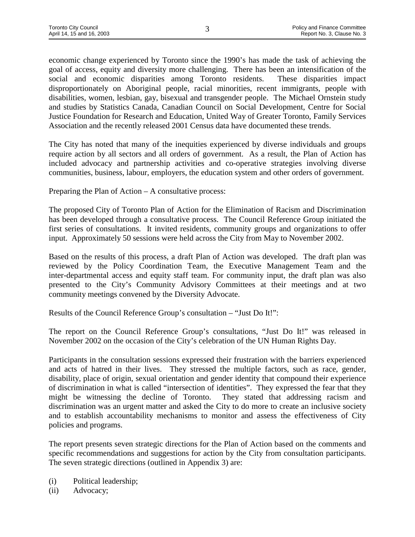economic change experienced by Toronto since the 1990's has made the task of achieving the goal of access, equity and diversity more challenging. There has been an intensification of the social and economic disparities among Toronto residents. These disparities impact disproportionately on Aboriginal people, racial minorities, recent immigrants, people with disabilities, women, lesbian, gay, bisexual and transgender people. The Michael Ornstein study and studies by Statistics Canada, Canadian Council on Social Development, Centre for Social Justice Foundation for Research and Education, United Way of Greater Toronto, Family Services Association and the recently released 2001 Census data have documented these trends.

The City has noted that many of the inequities experienced by diverse individuals and groups require action by all sectors and all orders of government. As a result, the Plan of Action has included advocacy and partnership activities and co-operative strategies involving diverse communities, business, labour, employers, the education system and other orders of government.

Preparing the Plan of Action – A consultative process:

The proposed City of Toronto Plan of Action for the Elimination of Racism and Discrimination has been developed through a consultative process. The Council Reference Group initiated the first series of consultations. It invited residents, community groups and organizations to offer input. Approximately 50 sessions were held across the City from May to November 2002.

Based on the results of this process, a draft Plan of Action was developed. The draft plan was reviewed by the Policy Coordination Team, the Executive Management Team and the inter-departmental access and equity staff team. For community input, the draft plan was also presented to the City's Community Advisory Committees at their meetings and at two community meetings convened by the Diversity Advocate.

Results of the Council Reference Group's consultation – "Just Do It!":

The report on the Council Reference Group's consultations, "Just Do It!" was released in November 2002 on the occasion of the City's celebration of the UN Human Rights Day.

Participants in the consultation sessions expressed their frustration with the barriers experienced and acts of hatred in their lives. They stressed the multiple factors, such as race, gender, disability, place of origin, sexual orientation and gender identity that compound their experience of discrimination in what is called "intersection of identities". They expressed the fear that they might be witnessing the decline of Toronto. They stated that addressing racism and discrimination was an urgent matter and asked the City to do more to create an inclusive society and to establish accountability mechanisms to monitor and assess the effectiveness of City policies and programs.

The report presents seven strategic directions for the Plan of Action based on the comments and specific recommendations and suggestions for action by the City from consultation participants. The seven strategic directions (outlined in Appendix 3) are:

- (i) Political leadership;
- (ii) Advocacy;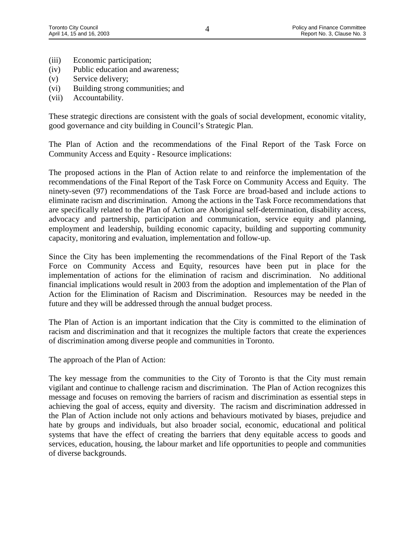- (iii) Economic participation;
- (iv) Public education and awareness;
- (v) Service delivery;
- (vi) Building strong communities; and
- (vii) Accountability.

These strategic directions are consistent with the goals of social development, economic vitality, good governance and city building in Council's Strategic Plan.

The Plan of Action and the recommendations of the Final Report of the Task Force on Community Access and Equity - Resource implications:

The proposed actions in the Plan of Action relate to and reinforce the implementation of the recommendations of the Final Report of the Task Force on Community Access and Equity. The ninety-seven (97) recommendations of the Task Force are broad-based and include actions to eliminate racism and discrimination. Among the actions in the Task Force recommendations that are specifically related to the Plan of Action are Aboriginal self-determination, disability access, advocacy and partnership, participation and communication, service equity and planning, employment and leadership, building economic capacity, building and supporting community capacity, monitoring and evaluation, implementation and follow-up.

Since the City has been implementing the recommendations of the Final Report of the Task Force on Community Access and Equity, resources have been put in place for the implementation of actions for the elimination of racism and discrimination. No additional financial implications would result in 2003 from the adoption and implementation of the Plan of Action for the Elimination of Racism and Discrimination. Resources may be needed in the future and they will be addressed through the annual budget process.

The Plan of Action is an important indication that the City is committed to the elimination of racism and discrimination and that it recognizes the multiple factors that create the experiences of discrimination among diverse people and communities in Toronto.

The approach of the Plan of Action:

The key message from the communities to the City of Toronto is that the City must remain vigilant and continue to challenge racism and discrimination. The Plan of Action recognizes this message and focuses on removing the barriers of racism and discrimination as essential steps in achieving the goal of access, equity and diversity. The racism and discrimination addressed in the Plan of Action include not only actions and behaviours motivated by biases, prejudice and hate by groups and individuals, but also broader social, economic, educational and political systems that have the effect of creating the barriers that deny equitable access to goods and services, education, housing, the labour market and life opportunities to people and communities of diverse backgrounds.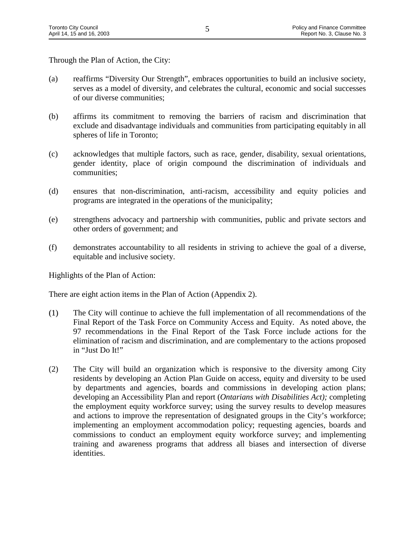Through the Plan of Action, the City:

- (a) reaffirms "Diversity Our Strength", embraces opportunities to build an inclusive society, serves as a model of diversity, and celebrates the cultural, economic and social successes of our diverse communities;
- (b) affirms its commitment to removing the barriers of racism and discrimination that exclude and disadvantage individuals and communities from participating equitably in all spheres of life in Toronto;
- (c) acknowledges that multiple factors, such as race, gender, disability, sexual orientations, gender identity, place of origin compound the discrimination of individuals and communities;
- (d) ensures that non-discrimination, anti-racism, accessibility and equity policies and programs are integrated in the operations of the municipality;
- (e) strengthens advocacy and partnership with communities, public and private sectors and other orders of government; and
- (f) demonstrates accountability to all residents in striving to achieve the goal of a diverse, equitable and inclusive society.

Highlights of the Plan of Action:

There are eight action items in the Plan of Action (Appendix 2).

- (1) The City will continue to achieve the full implementation of all recommendations of the ) Final Report of the Task Force on Community Access and Equity. As noted above, the 97 recommendations in the Final Report of the Task Force include actions for the elimination of racism and discrimination, and are complementary to the actions proposed in "Just Do It!"
- (2) The City will build an organization which is responsive to the diversity among City residents by developing an Action Plan Guide on access, equity and diversity to be used by departments and agencies, boards and commissions in developing action plans; developing an Accessibility Plan and report (*Ontarians with Disabilities Act);* completing the employment equity workforce survey; using the survey results to develop measures and actions to improve the representation of designated groups in the City's workforce; implementing an employment accommodation policy; requesting agencies, boards and commissions to conduct an employment equity workforce survey; and implementing training and awareness programs that address all biases and intersection of diverse identities.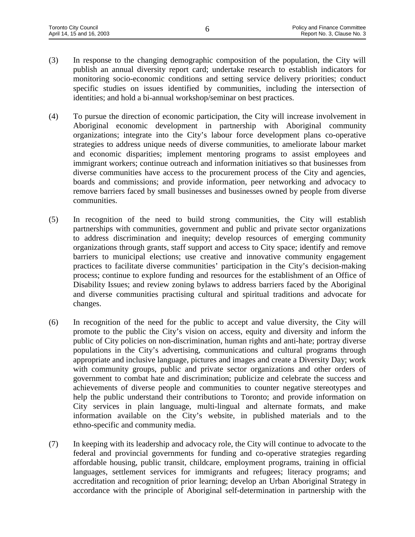- (3) In response to the changing demographic composition of the population, the City will publish an annual diversity report card; undertake research to establish indicators for monitoring socio-economic conditions and setting service delivery priorities; conduct specific studies on issues identified by communities, including the intersection of identities; and hold a bi-annual workshop/seminar on best practices.
- (4) To pursue the direction of economic participation, the City will increase involvement in Aboriginal economic development in partnership with Aboriginal community organizations; integrate into the City's labour force development plans co-operative strategies to address unique needs of diverse communities, to ameliorate labour market and economic disparities; implement mentoring programs to assist employees and immigrant workers; continue outreach and information initiatives so that businesses from diverse communities have access to the procurement process of the City and agencies, boards and commissions; and provide information, peer networking and advocacy to remove barriers faced by small businesses and businesses owned by people from diverse communities.
- (5) In recognition of the need to build strong communities, the City will establish partnerships with communities, government and public and private sector organizations to address discrimination and inequity; develop resources of emerging community organizations through grants, staff support and access to City space; identify and remove barriers to municipal elections; use creative and innovative community engagement practices to facilitate diverse communities' participation in the City's decision-making process; continue to explore funding and resources for the establishment of an Office of Disability Issues; and review zoning bylaws to address barriers faced by the Aboriginal and diverse communities practising cultural and spiritual traditions and advocate for changes.
- (6) In recognition of the need for the public to accept and value diversity, the City will promote to the public the City's vision on access, equity and diversity and inform the public of City policies on non-discrimination, human rights and anti-hate; portray diverse populations in the City's advertising, communications and cultural programs through appropriate and inclusive language, pictures and images and create a Diversity Day; work with community groups, public and private sector organizations and other orders of government to combat hate and discrimination; publicize and celebrate the success and achievements of diverse people and communities to counter negative stereotypes and help the public understand their contributions to Toronto; and provide information on City services in plain language, multi-lingual and alternate formats, and make information available on the City's website, in published materials and to the ethno-specific and community media.
- (7) In keeping with its leadership and advocacy role, the City will continue to advocate to the federal and provincial governments for funding and co-operative strategies regarding affordable housing, public transit, childcare, employment programs, training in official languages, settlement services for immigrants and refugees; literacy programs; and accreditation and recognition of prior learning; develop an Urban Aboriginal Strategy in accordance with the principle of Aboriginal self-determination in partnership with the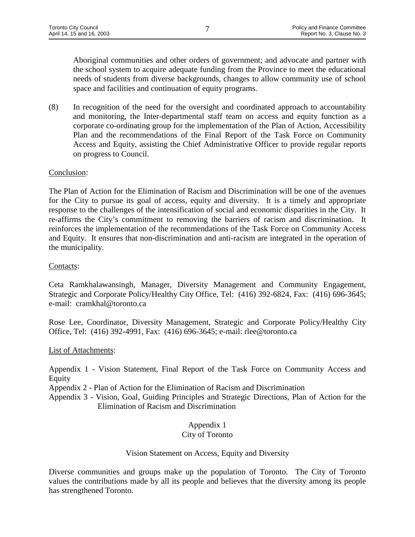Aboriginal communities and other orders of government; and advocate and partner with the school system to acquire adequate funding from the Province to meet the educational needs of students from diverse backgrounds, changes to allow community use of school space and facilities and continuation of equity programs.

(8) In recognition of the need for the oversight and coordinated approach to accountability and monitoring, the Inter-departmental staff team on access and equity function as a corporate co-ordinating group for the implementation of the Plan of Action, Accessibility Plan and the recommendations of the Final Report of the Task Force on Community Access and Equity, assisting the Chief Administrative Officer to provide regular reports on progress to Council.

#### Conclusion:

The Plan of Action for the Elimination of Racism and Discrimination will be one of the avenues for the City to pursue its goal of access, equity and diversity. It is a timely and appropriate response to the challenges of the intensification of social and economic disparities in the City. It re-affirms the City's commitment to removing the barriers of racism and discrimination. It reinforces the implementation of the recommendations of the Task Force on Community Access and Equity. It ensures that non-discrimination and anti-racism are integrated in the operation of the municipality.

#### Contacts:

Ceta Ramkhalawansingh, Manager, Diversity Management and Community Engagement, Strategic and Corporate Policy/Healthy City Office, Tel: (416) 392-6824, Fax: (416) 696-3645; e-mail: cramkhal@toronto.ca

Rose Lee, Coordinator, Diversity Management, Strategic and Corporate Policy/Healthy City Office, Tel: (416) 392-4991, Fax: (416) 696-3645; e-mail: rlee@toronto.ca

#### List of Attachments:

Appendix 1 - Vision Statement, Final Report of the Task Force on Community Access and Equity

Appendix 2 - Plan of Action for the Elimination of Racism and Discrimination

Appendix 3 - Vision, Goal, Guiding Principles and Strategic Directions, Plan of Action for the Elimination of Racism and Discrimination

# Appendix 1

# City of Toronto

# Vision Statement on Access, Equity and Diversity

Diverse communities and groups make up the population of Toronto. The City of Toronto values the contributions made by all its people and believes that the diversity among its people has strengthened Toronto.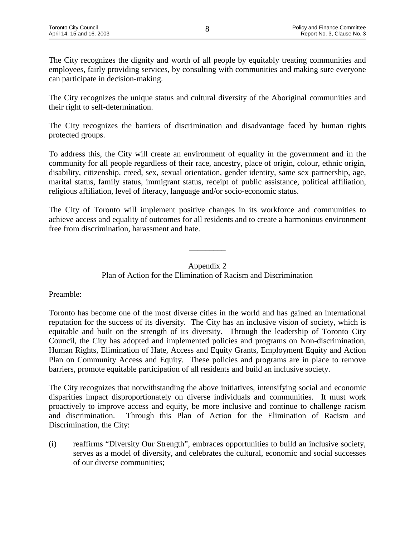The City recognizes the dignity and worth of all people by equitably treating communities and employees, fairly providing services, by consulting with communities and making sure everyone can participate in decision-making.

The City recognizes the unique status and cultural diversity of the Aboriginal communities and their right to self-determination.

The City recognizes the barriers of discrimination and disadvantage faced by human rights protected groups.

To address this, the City will create an environment of equality in the government and in the community for all people regardless of their race, ancestry, place of origin, colour, ethnic origin, disability, citizenship, creed, sex, sexual orientation, gender identity, same sex partnership, age, marital status, family status, immigrant status, receipt of public assistance, political affiliation, religious affiliation, level of literacy, language and/or socio-economic status.

The City of Toronto will implement positive changes in its workforce and communities to achieve access and equality of outcomes for all residents and to create a harmonious environment free from discrimination, harassment and hate.

#### Appendix 2

\_\_\_\_\_\_\_\_\_

Plan of Action for the Elimination of Racism and Discrimination

# Preamble:

Toronto has become one of the most diverse cities in the world and has gained an international reputation for the success of its diversity. The City has an inclusive vision of society, which is equitable and built on the strength of its diversity. Through the leadership of Toronto City Council, the City has adopted and implemented policies and programs on Non-discrimination, Human Rights, Elimination of Hate, Access and Equity Grants, Employment Equity and Action Plan on Community Access and Equity. These policies and programs are in place to remove barriers, promote equitable participation of all residents and build an inclusive society.

The City recognizes that notwithstanding the above initiatives, intensifying social and economic disparities impact disproportionately on diverse individuals and communities. It must work proactively to improve access and equity, be more inclusive and continue to challenge racism and discrimination. Through this Plan of Action for the Elimination of Racism and Discrimination, the City:

(i) reaffirms "Diversity Our Strength", embraces opportunities to build an inclusive society, serves as a model of diversity, and celebrates the cultural, economic and social successes of our diverse communities;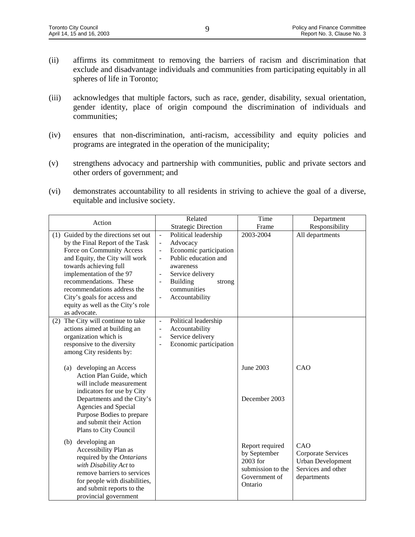- (ii) affirms its commitment to removing the barriers of racism and discrimination that exclude and disadvantage individuals and communities from participating equitably in all spheres of life in Toronto;
- (iii) acknowledges that multiple factors, such as race, gender, disability, sexual orientation, gender identity, place of origin compound the discrimination of individuals and communities;
- (iv) ensures that non-discrimination, anti-racism, accessibility and equity policies and programs are integrated in the operation of the municipality;
- (v) strengthens advocacy and partnership with communities, public and private sectors and other orders of government; and
- (vi) demonstrates accountability to all residents in striving to achieve the goal of a diverse, equitable and inclusive society.

| Action                                                                                                                                                                                                                     | Related                                          | Time                                                                                         | Department                                                                                 |
|----------------------------------------------------------------------------------------------------------------------------------------------------------------------------------------------------------------------------|--------------------------------------------------|----------------------------------------------------------------------------------------------|--------------------------------------------------------------------------------------------|
|                                                                                                                                                                                                                            | <b>Strategic Direction</b>                       | Frame                                                                                        | Responsibility                                                                             |
| (1) Guided by the directions set out                                                                                                                                                                                       | Political leadership<br>$\blacksquare$           | 2003-2004                                                                                    | All departments                                                                            |
| by the Final Report of the Task                                                                                                                                                                                            | Advocacy<br>$\blacksquare$                       |                                                                                              |                                                                                            |
| Force on Community Access                                                                                                                                                                                                  | Economic participation<br>$\blacksquare$         |                                                                                              |                                                                                            |
| and Equity, the City will work                                                                                                                                                                                             | Public education and<br>$\overline{\phantom{a}}$ |                                                                                              |                                                                                            |
| towards achieving full                                                                                                                                                                                                     | awareness                                        |                                                                                              |                                                                                            |
| implementation of the 97                                                                                                                                                                                                   | Service delivery                                 |                                                                                              |                                                                                            |
| recommendations. These                                                                                                                                                                                                     | <b>Building</b><br>strong<br>$\blacksquare$      |                                                                                              |                                                                                            |
| recommendations address the                                                                                                                                                                                                | communities                                      |                                                                                              |                                                                                            |
| City's goals for access and                                                                                                                                                                                                | Accountability                                   |                                                                                              |                                                                                            |
| equity as well as the City's role                                                                                                                                                                                          |                                                  |                                                                                              |                                                                                            |
| as advocate.                                                                                                                                                                                                               |                                                  |                                                                                              |                                                                                            |
| (2) The City will continue to take                                                                                                                                                                                         | Political leadership<br>$\blacksquare$           |                                                                                              |                                                                                            |
| actions aimed at building an                                                                                                                                                                                               | Accountability<br>$\overline{\phantom{a}}$       |                                                                                              |                                                                                            |
| organization which is                                                                                                                                                                                                      | Service delivery<br>$\overline{\phantom{a}}$     |                                                                                              |                                                                                            |
| responsive to the diversity                                                                                                                                                                                                | Economic participation<br>$\blacksquare$         |                                                                                              |                                                                                            |
| among City residents by:                                                                                                                                                                                                   |                                                  |                                                                                              |                                                                                            |
| developing an Access<br>(a)<br>Action Plan Guide, which<br>will include measurement<br>indicators for use by City                                                                                                          |                                                  | June 2003                                                                                    | CAO                                                                                        |
| Departments and the City's<br>Agencies and Special<br>Purpose Bodies to prepare<br>and submit their Action<br>Plans to City Council                                                                                        |                                                  | December 2003                                                                                |                                                                                            |
|                                                                                                                                                                                                                            |                                                  |                                                                                              |                                                                                            |
| developing an<br>(b)<br>Accessibility Plan as<br>required by the Ontarians<br>with Disability Act to<br>remove barriers to services<br>for people with disabilities,<br>and submit reports to the<br>provincial government |                                                  | Report required<br>by September<br>2003 for<br>submission to the<br>Government of<br>Ontario | CAO<br>Corporate Services<br><b>Urban Development</b><br>Services and other<br>departments |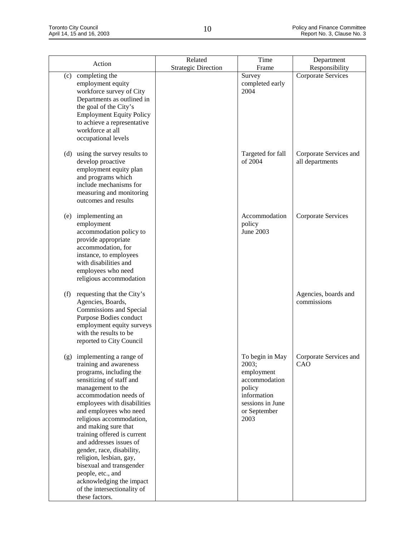|                                                                                                                                                                                                                                                                                                                                                                                                                                                                                                                          | Related                    | Time                                                                                                                         | Department                                |
|--------------------------------------------------------------------------------------------------------------------------------------------------------------------------------------------------------------------------------------------------------------------------------------------------------------------------------------------------------------------------------------------------------------------------------------------------------------------------------------------------------------------------|----------------------------|------------------------------------------------------------------------------------------------------------------------------|-------------------------------------------|
| Action                                                                                                                                                                                                                                                                                                                                                                                                                                                                                                                   | <b>Strategic Direction</b> | Frame                                                                                                                        | Responsibility                            |
| completing the<br>(c)<br>employment equity<br>workforce survey of City<br>Departments as outlined in<br>the goal of the City's<br><b>Employment Equity Policy</b><br>to achieve a representative<br>workforce at all<br>occupational levels                                                                                                                                                                                                                                                                              |                            | Survey<br>completed early<br>2004                                                                                            | Corporate Services                        |
| (d) using the survey results to<br>develop proactive<br>employment equity plan<br>and programs which<br>include mechanisms for<br>measuring and monitoring<br>outcomes and results                                                                                                                                                                                                                                                                                                                                       |                            | Targeted for fall<br>of 2004                                                                                                 | Corporate Services and<br>all departments |
| implementing an<br>(e)<br>employment<br>accommodation policy to<br>provide appropriate<br>accommodation, for<br>instance, to employees<br>with disabilities and<br>employees who need<br>religious accommodation                                                                                                                                                                                                                                                                                                         |                            | Accommodation<br>policy<br>June 2003                                                                                         | <b>Corporate Services</b>                 |
| requesting that the City's<br>(f)<br>Agencies, Boards,<br>Commissions and Special<br>Purpose Bodies conduct<br>employment equity surveys<br>with the results to be<br>reported to City Council                                                                                                                                                                                                                                                                                                                           |                            |                                                                                                                              | Agencies, boards and<br>commissions       |
| (g) implementing a range of<br>training and awareness<br>programs, including the<br>sensitizing of staff and<br>management to the<br>accommodation needs of<br>employees with disabilities<br>and employees who need<br>religious accommodation,<br>and making sure that<br>training offered is current<br>and addresses issues of<br>gender, race, disability,<br>religion, lesbian, gay,<br>bisexual and transgender<br>people, etc., and<br>acknowledging the impact<br>of the intersectionality of<br>these factors. |                            | To begin in May<br>2003;<br>employment<br>accommodation<br>policy<br>information<br>sessions in June<br>or September<br>2003 | Corporate Services and<br>CAO             |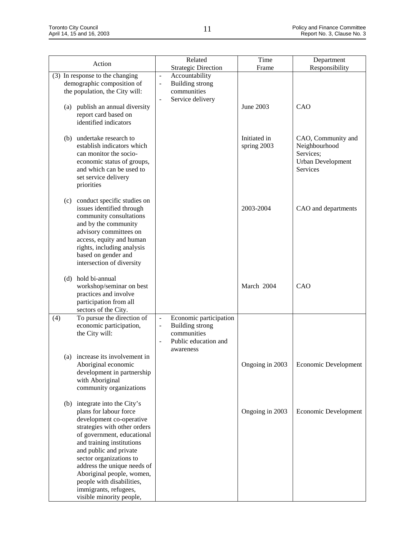| Action                                                                                                                                                                                                                                                                                                                                                                            | Related<br><b>Strategic Direction</b>                                                                                                                               | Time<br>Frame               | Department<br>Responsibility                                                      |
|-----------------------------------------------------------------------------------------------------------------------------------------------------------------------------------------------------------------------------------------------------------------------------------------------------------------------------------------------------------------------------------|---------------------------------------------------------------------------------------------------------------------------------------------------------------------|-----------------------------|-----------------------------------------------------------------------------------|
| (3) In response to the changing<br>demographic composition of<br>the population, the City will:<br>publish an annual diversity<br>(a)<br>report card based on<br>identified indicators                                                                                                                                                                                            | Accountability<br>$\overline{\phantom{a}}$<br><b>Building strong</b><br>$\blacksquare$<br>communities<br>Service delivery<br>$\blacksquare$                         | June 2003                   | CAO                                                                               |
| undertake research to<br>(b)<br>establish indicators which<br>can monitor the socio-<br>economic status of groups,<br>and which can be used to<br>set service delivery<br>priorities                                                                                                                                                                                              |                                                                                                                                                                     | Initiated in<br>spring 2003 | CAO, Community and<br>Neighbourhood<br>Services;<br>Urban Development<br>Services |
| conduct specific studies on<br>(c)<br>issues identified through<br>community consultations<br>and by the community<br>advisory committees on<br>access, equity and human<br>rights, including analysis<br>based on gender and<br>intersection of diversity                                                                                                                        |                                                                                                                                                                     | 2003-2004                   | CAO and departments                                                               |
| hold bi-annual<br>(d)<br>workshop/seminar on best<br>practices and involve<br>participation from all<br>sectors of the City.                                                                                                                                                                                                                                                      |                                                                                                                                                                     | March 2004                  | CAO                                                                               |
| To pursue the direction of<br>(4)<br>economic participation,<br>the City will:                                                                                                                                                                                                                                                                                                    | Economic participation<br>$\overline{\phantom{a}}$<br><b>Building strong</b><br>$\frac{1}{2}$<br>communities<br>Public education and<br>$\overline{a}$<br>awareness |                             |                                                                                   |
| (a) increase its involvement in<br>Aboriginal economic<br>development in partnership<br>with Aboriginal<br>community organizations                                                                                                                                                                                                                                                |                                                                                                                                                                     | Ongoing in 2003             | Economic Development                                                              |
| (b) integrate into the City's<br>plans for labour force<br>development co-operative<br>strategies with other orders<br>of government, educational<br>and training institutions<br>and public and private<br>sector organizations to<br>address the unique needs of<br>Aboriginal people, women,<br>people with disabilities,<br>immigrants, refugees,<br>visible minority people, |                                                                                                                                                                     | Ongoing in 2003             | Economic Development                                                              |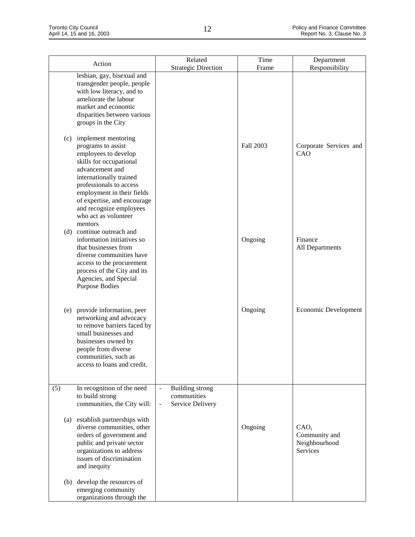| Action                                                                                                                                                                                                                                                               | Related<br><b>Strategic Direction</b>                                                                   | Time<br>Frame | Department<br>Responsibility                       |
|----------------------------------------------------------------------------------------------------------------------------------------------------------------------------------------------------------------------------------------------------------------------|---------------------------------------------------------------------------------------------------------|---------------|----------------------------------------------------|
| lesbian, gay, bisexual and<br>transgender people, people<br>with low literacy, and to<br>ameliorate the labour<br>market and economic<br>disparities between various<br>groups in the City                                                                           |                                                                                                         |               |                                                    |
| implement mentoring<br>(c)<br>programs to assist<br>employees to develop<br>skills for occupational<br>advancement and<br>internationally trained<br>professionals to access<br>employment in their fields<br>of expertise, and encourage<br>and recognize employees |                                                                                                         | Fall 2003     | Corporate Services and<br>CAO                      |
| who act as volunteer<br>mentors<br>continue outreach and<br>(d)<br>information initiatives so<br>that businesses from<br>diverse communities have<br>access to the procurement<br>process of the City and its<br>Agencies, and Special<br><b>Purpose Bodies</b>      |                                                                                                         | Ongoing       | Finance<br>All Departments                         |
| (e) provide information, peer<br>networking and advocacy<br>to remove barriers faced by<br>small businesses and<br>businesses owned by<br>people from diverse<br>communities, such as<br>access to loans and credit.                                                 |                                                                                                         | Ongoing       | Economic Development                               |
| In recognition of the need<br>(5)<br>to build strong<br>communities, the City will:                                                                                                                                                                                  | <b>Building strong</b><br>$\overline{\phantom{a}}$<br>communities<br>Service Delivery<br>$\blacksquare$ |               |                                                    |
| establish partnerships with<br>(a)<br>diverse communities, other<br>orders of government and<br>public and private sector<br>organizations to address<br>issues of discrimination<br>and inequity                                                                    |                                                                                                         | Ongoing       | CAO,<br>Community and<br>Neighbourhood<br>Services |
| develop the resources of<br>(b)<br>emerging community<br>organizations through the                                                                                                                                                                                   |                                                                                                         |               |                                                    |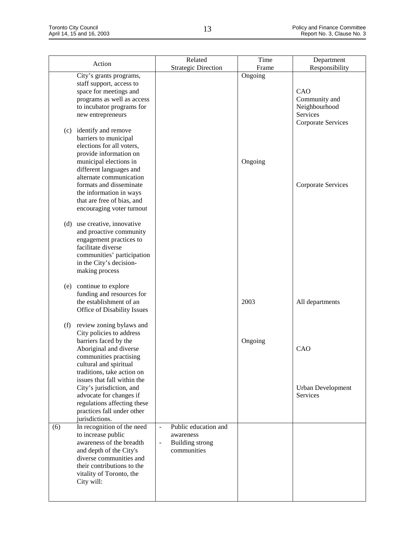| Action                                                                                                                                                                                                                                                                                                   | Related                                                                                                        | Time    | Department                                                              |
|----------------------------------------------------------------------------------------------------------------------------------------------------------------------------------------------------------------------------------------------------------------------------------------------------------|----------------------------------------------------------------------------------------------------------------|---------|-------------------------------------------------------------------------|
|                                                                                                                                                                                                                                                                                                          | <b>Strategic Direction</b>                                                                                     | Frame   | Responsibility                                                          |
| City's grants programs,<br>staff support, access to<br>space for meetings and<br>programs as well as access<br>to incubator programs for<br>new entrepreneurs                                                                                                                                            |                                                                                                                | Ongoing | CAO<br>Community and<br>Neighbourhood<br>Services<br>Corporate Services |
| (c) identify and remove<br>barriers to municipal<br>elections for all voters,<br>provide information on<br>municipal elections in<br>different languages and<br>alternate communication<br>formats and disseminate<br>the information in ways<br>that are free of bias, and<br>encouraging voter turnout |                                                                                                                | Ongoing | <b>Corporate Services</b>                                               |
| (d) use creative, innovative<br>and proactive community<br>engagement practices to<br>facilitate diverse<br>communities' participation<br>in the City's decision-<br>making process                                                                                                                      |                                                                                                                |         |                                                                         |
| continue to explore<br>(e)<br>funding and resources for<br>the establishment of an<br>Office of Disability Issues                                                                                                                                                                                        |                                                                                                                | 2003    | All departments                                                         |
| (f)<br>review zoning bylaws and<br>City policies to address<br>barriers faced by the<br>Aboriginal and diverse<br>communities practising<br>cultural and spiritual<br>traditions, take action on                                                                                                         |                                                                                                                | Ongoing | CAO                                                                     |
| issues that fall within the<br>City's jurisdiction, and<br>advocate for changes if<br>regulations affecting these<br>practices fall under other<br>jurisdictions.                                                                                                                                        |                                                                                                                |         | <b>Urban Development</b><br><b>Services</b>                             |
| In recognition of the need<br>(6)<br>to increase public<br>awareness of the breadth<br>and depth of the City's<br>diverse communities and<br>their contributions to the<br>vitality of Toronto, the<br>City will:                                                                                        | Public education and<br>$\blacksquare$<br>awareness<br><b>Building strong</b><br>$\blacksquare$<br>communities |         |                                                                         |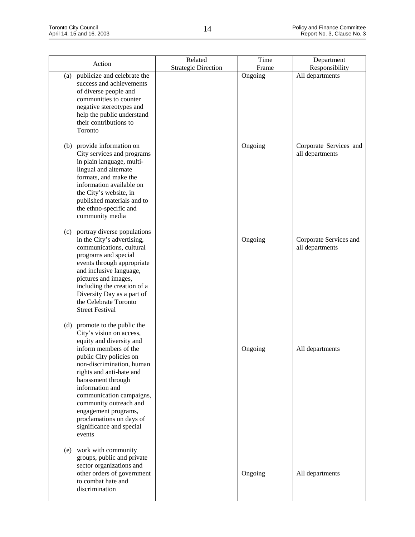| Action                                                                                                                                                                                                                                                                                                                                                                                      | Related                    | Time    | Department                                |
|---------------------------------------------------------------------------------------------------------------------------------------------------------------------------------------------------------------------------------------------------------------------------------------------------------------------------------------------------------------------------------------------|----------------------------|---------|-------------------------------------------|
|                                                                                                                                                                                                                                                                                                                                                                                             | <b>Strategic Direction</b> | Frame   | Responsibility                            |
| publicize and celebrate the<br>(a)<br>success and achievements<br>of diverse people and<br>communities to counter<br>negative stereotypes and<br>help the public understand<br>their contributions to<br>Toronto                                                                                                                                                                            |                            | Ongoing | All departments                           |
| (b) provide information on<br>City services and programs<br>in plain language, multi-<br>lingual and alternate<br>formats, and make the<br>information available on<br>the City's website, in<br>published materials and to<br>the ethno-specific and<br>community media                                                                                                                    |                            | Ongoing | Corporate Services and<br>all departments |
| (c) portray diverse populations<br>in the City's advertising,<br>communications, cultural<br>programs and special<br>events through appropriate<br>and inclusive language,<br>pictures and images,<br>including the creation of a<br>Diversity Day as a part of<br>the Celebrate Toronto<br><b>Street Festival</b>                                                                          |                            | Ongoing | Corporate Services and<br>all departments |
| (d) promote to the public the<br>City's vision on access,<br>equity and diversity and<br>inform members of the<br>public City policies on<br>non-discrimination, human<br>rights and anti-hate and<br>harassment through<br>information and<br>communication campaigns,<br>community outreach and<br>engagement programs,<br>proclamations on days of<br>significance and special<br>events |                            | Ongoing | All departments                           |
| work with community<br>(e)<br>groups, public and private<br>sector organizations and<br>other orders of government<br>to combat hate and<br>discrimination                                                                                                                                                                                                                                  |                            | Ongoing | All departments                           |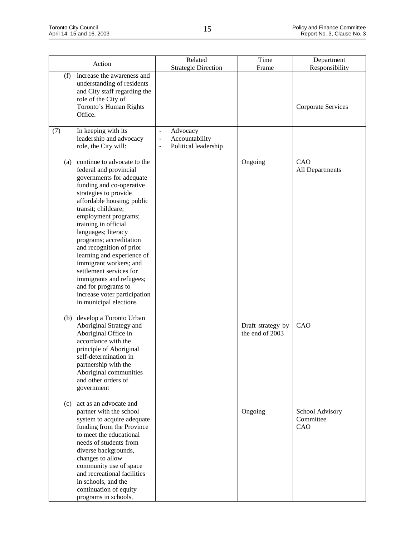|     | Action                                                                                                                                                                                                                                                                                                                                                                                                                                                                                                                    | Related                                                                                             | Time                                 | Department                          |
|-----|---------------------------------------------------------------------------------------------------------------------------------------------------------------------------------------------------------------------------------------------------------------------------------------------------------------------------------------------------------------------------------------------------------------------------------------------------------------------------------------------------------------------------|-----------------------------------------------------------------------------------------------------|--------------------------------------|-------------------------------------|
|     |                                                                                                                                                                                                                                                                                                                                                                                                                                                                                                                           | <b>Strategic Direction</b>                                                                          | Frame                                | Responsibility                      |
| (f) | increase the awareness and<br>understanding of residents<br>and City staff regarding the<br>role of the City of<br>Toronto's Human Rights<br>Office.                                                                                                                                                                                                                                                                                                                                                                      |                                                                                                     |                                      | <b>Corporate Services</b>           |
| (7) | In keeping with its<br>leadership and advocacy<br>role, the City will:                                                                                                                                                                                                                                                                                                                                                                                                                                                    | Advocacy<br>$\frac{1}{2}$<br>Accountability<br>$\qquad \qquad \blacksquare$<br>Political leadership |                                      |                                     |
| (a) | continue to advocate to the<br>federal and provincial<br>governments for adequate<br>funding and co-operative<br>strategies to provide<br>affordable housing; public<br>transit; childcare;<br>employment programs;<br>training in official<br>languages; literacy<br>programs; accreditation<br>and recognition of prior<br>learning and experience of<br>immigrant workers; and<br>settlement services for<br>immigrants and refugees;<br>and for programs to<br>increase voter participation<br>in municipal elections |                                                                                                     | Ongoing                              | CAO<br>All Departments              |
|     | (b) develop a Toronto Urban<br>Aboriginal Strategy and<br>Aboriginal Office in<br>accordance with the<br>principle of Aboriginal<br>self-determination in<br>partnership with the<br>Aboriginal communities<br>and other orders of<br>government                                                                                                                                                                                                                                                                          |                                                                                                     | Draft strategy by<br>the end of 2003 | CAO                                 |
| (c) | act as an advocate and<br>partner with the school<br>system to acquire adequate<br>funding from the Province<br>to meet the educational<br>needs of students from<br>diverse backgrounds,<br>changes to allow<br>community use of space<br>and recreational facilities<br>in schools, and the<br>continuation of equity<br>programs in schools.                                                                                                                                                                           |                                                                                                     | Ongoing                              | School Advisory<br>Committee<br>CAO |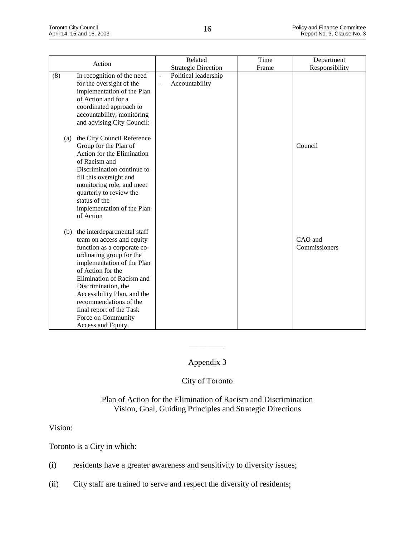|     |                                                                                                                                                                                                                                                                                                                                                             | Related                                                                              | Time  | Department               |
|-----|-------------------------------------------------------------------------------------------------------------------------------------------------------------------------------------------------------------------------------------------------------------------------------------------------------------------------------------------------------------|--------------------------------------------------------------------------------------|-------|--------------------------|
|     | Action                                                                                                                                                                                                                                                                                                                                                      | <b>Strategic Direction</b>                                                           | Frame | Responsibility           |
| (8) | In recognition of the need<br>for the oversight of the<br>implementation of the Plan<br>of Action and for a<br>coordinated approach to<br>accountability, monitoring<br>and advising City Council:                                                                                                                                                          | Political leadership<br>$\blacksquare$<br>Accountability<br>$\overline{\phantom{a}}$ |       |                          |
| (a) | the City Council Reference<br>Group for the Plan of<br>Action for the Elimination<br>of Racism and<br>Discrimination continue to<br>fill this oversight and<br>monitoring role, and meet<br>quarterly to review the<br>status of the<br>implementation of the Plan<br>of Action                                                                             |                                                                                      |       | Council                  |
| (b) | the interdepartmental staff<br>team on access and equity<br>function as a corporate co-<br>ordinating group for the<br>implementation of the Plan<br>of Action for the<br>Elimination of Racism and<br>Discrimination, the<br>Accessibility Plan, and the<br>recommendations of the<br>final report of the Task<br>Force on Community<br>Access and Equity. |                                                                                      |       | CAO and<br>Commissioners |

# Appendix 3

 $\overline{\phantom{a}}$ 

# City of Toronto

# Plan of Action for the Elimination of Racism and Discrimination Vision, Goal, Guiding Principles and Strategic Directions

### Vision:

Toronto is a City in which:

- (i) residents have a greater awareness and sensitivity to diversity issues;
- (ii) City staff are trained to serve and respect the diversity of residents;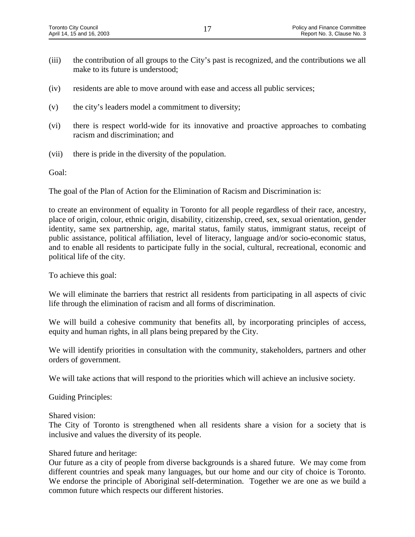- (iii) the contribution of all groups to the City's past is recognized, and the contributions we all make to its future is understood;
- (iv) residents are able to move around with ease and access all public services;
- (v) the city's leaders model a commitment to diversity;
- (vi) there is respect world-wide for its innovative and proactive approaches to combating racism and discrimination; and
- (vii) there is pride in the diversity of the population.

Goal:

The goal of the Plan of Action for the Elimination of Racism and Discrimination is:

to create an environment of equality in Toronto for all people regardless of their race, ancestry, place of origin, colour, ethnic origin, disability, citizenship, creed, sex, sexual orientation, gender identity, same sex partnership, age, marital status, family status, immigrant status, receipt of public assistance, political affiliation, level of literacy, language and/or socio-economic status, and to enable all residents to participate fully in the social, cultural, recreational, economic and political life of the city.

To achieve this goal:

We will eliminate the barriers that restrict all residents from participating in all aspects of civic life through the elimination of racism and all forms of discrimination.

We will build a cohesive community that benefits all, by incorporating principles of access, equity and human rights, in all plans being prepared by the City.

We will identify priorities in consultation with the community, stakeholders, partners and other orders of government.

We will take actions that will respond to the priorities which will achieve an inclusive society.

Guiding Principles:

Shared vision:

The City of Toronto is strengthened when all residents share a vision for a society that is inclusive and values the diversity of its people.

#### Shared future and heritage:

Our future as a city of people from diverse backgrounds is a shared future. We may come from different countries and speak many languages, but our home and our city of choice is Toronto. We endorse the principle of Aboriginal self-determination. Together we are one as we build a common future which respects our different histories.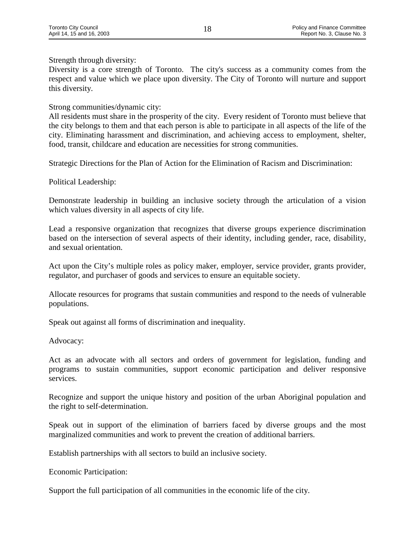Strength through diversity:

Diversity is a core strength of Toronto. The city's success as a community comes from the respect and value which we place upon diversity. The City of Toronto will nurture and support this diversity.

#### Strong communities/dynamic city:

All residents must share in the prosperity of the city. Every resident of Toronto must believe that the city belongs to them and that each person is able to participate in all aspects of the life of the city. Eliminating harassment and discrimination, and achieving access to employment, shelter, food, transit, childcare and education are necessities for strong communities.

Strategic Directions for the Plan of Action for the Elimination of Racism and Discrimination:

Political Leadership:

Demonstrate leadership in building an inclusive society through the articulation of a vision which values diversity in all aspects of city life.

Lead a responsive organization that recognizes that diverse groups experience discrimination based on the intersection of several aspects of their identity, including gender, race, disability, and sexual orientation.

Act upon the City's multiple roles as policy maker, employer, service provider, grants provider, regulator, and purchaser of goods and services to ensure an equitable society.

Allocate resources for programs that sustain communities and respond to the needs of vulnerable populations.

Speak out against all forms of discrimination and inequality.

Advocacy:

Act as an advocate with all sectors and orders of government for legislation, funding and programs to sustain communities, support economic participation and deliver responsive services.

Recognize and support the unique history and position of the urban Aboriginal population and the right to self-determination.

Speak out in support of the elimination of barriers faced by diverse groups and the most marginalized communities and work to prevent the creation of additional barriers.

Establish partnerships with all sectors to build an inclusive society.

Economic Participation:

Support the full participation of all communities in the economic life of the city.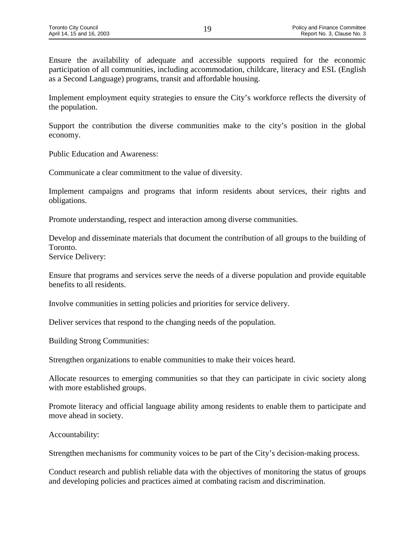Ensure the availability of adequate and accessible supports required for the economic participation of all communities, including accommodation, childcare, literacy and ESL (English as a Second Language) programs, transit and affordable housing.

Implement employment equity strategies to ensure the City's workforce reflects the diversity of the population.

Support the contribution the diverse communities make to the city's position in the global economy.

Public Education and Awareness:

Communicate a clear commitment to the value of diversity.

Implement campaigns and programs that inform residents about services, their rights and obligations.

Promote understanding, respect and interaction among diverse communities.

Develop and disseminate materials that document the contribution of all groups to the building of Toronto. Service Delivery:

Ensure that programs and services serve the needs of a diverse population and provide equitable benefits to all residents.

Involve communities in setting policies and priorities for service delivery.

Deliver services that respond to the changing needs of the population.

Building Strong Communities:

Strengthen organizations to enable communities to make their voices heard.

Allocate resources to emerging communities so that they can participate in civic society along with more established groups.

Promote literacy and official language ability among residents to enable them to participate and move ahead in society.

Accountability:

Strengthen mechanisms for community voices to be part of the City's decision-making process.

Conduct research and publish reliable data with the objectives of monitoring the status of groups and developing policies and practices aimed at combating racism and discrimination.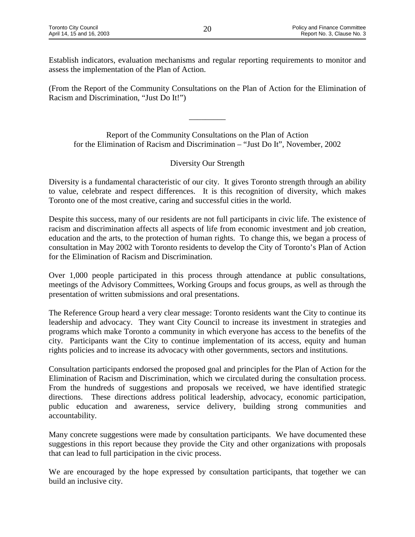Establish indicators, evaluation mechanisms and regular reporting requirements to monitor and assess the implementation of the Plan of Action.

(From the Report of the Community Consultations on the Plan of Action for the Elimination of Racism and Discrimination, "Just Do It!")

Report of the Community Consultations on the Plan of Action for the Elimination of Racism and Discrimination – "Just Do It", November, 2002

\_\_\_\_\_\_\_\_\_

#### Diversity Our Strength

Diversity is a fundamental characteristic of our city. It gives Toronto strength through an ability to value, celebrate and respect differences. It is this recognition of diversity, which makes Toronto one of the most creative, caring and successful cities in the world.

Despite this success, many of our residents are not full participants in civic life. The existence of racism and discrimination affects all aspects of life from economic investment and job creation, education and the arts, to the protection of human rights. To change this, we began a process of consultation in May 2002 with Toronto residents to develop the City of Toronto's Plan of Action for the Elimination of Racism and Discrimination.

Over 1,000 people participated in this process through attendance at public consultations, meetings of the Advisory Committees, Working Groups and focus groups, as well as through the presentation of written submissions and oral presentations.

The Reference Group heard a very clear message: Toronto residents want the City to continue its leadership and advocacy. They want City Council to increase its investment in strategies and programs which make Toronto a community in which everyone has access to the benefits of the city. Participants want the City to continue implementation of its access, equity and human rights policies and to increase its advocacy with other governments, sectors and institutions.

Consultation participants endorsed the proposed goal and principles for the Plan of Action for the Elimination of Racism and Discrimination, which we circulated during the consultation process. From the hundreds of suggestions and proposals we received, we have identified strategic directions. These directions address political leadership, advocacy, economic participation, public education and awareness, service delivery, building strong communities and accountability.

Many concrete suggestions were made by consultation participants. We have documented these suggestions in this report because they provide the City and other organizations with proposals that can lead to full participation in the civic process.

We are encouraged by the hope expressed by consultation participants, that together we can build an inclusive city.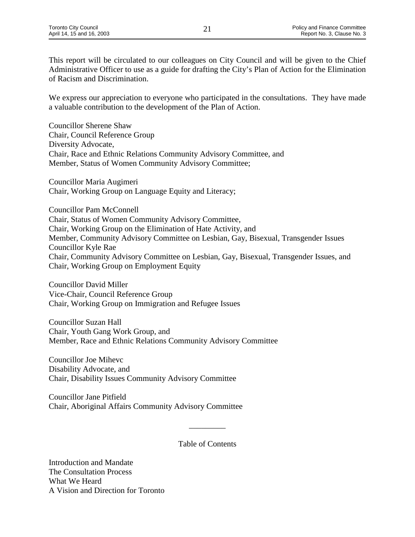This report will be circulated to our colleagues on City Council and will be given to the Chief Administrative Officer to use as a guide for drafting the City's Plan of Action for the Elimination of Racism and Discrimination.

We express our appreciation to everyone who participated in the consultations. They have made a valuable contribution to the development of the Plan of Action.

Councillor Sherene Shaw Chair, Council Reference Group Diversity Advocate, Chair, Race and Ethnic Relations Community Advisory Committee, and Member, Status of Women Community Advisory Committee;

Councillor Maria Augimeri Chair, Working Group on Language Equity and Literacy;

Councillor Pam McConnell Chair, Status of Women Community Advisory Committee, Chair, Working Group on the Elimination of Hate Activity, and Member, Community Advisory Committee on Lesbian, Gay, Bisexual, Transgender Issues Councillor Kyle Rae Chair, Community Advisory Committee on Lesbian, Gay, Bisexual, Transgender Issues, and Chair, Working Group on Employment Equity

Councillor David Miller Vice-Chair, Council Reference Group Chair, Working Group on Immigration and Refugee Issues

Councillor Suzan Hall Chair, Youth Gang Work Group, and Member, Race and Ethnic Relations Community Advisory Committee

Councillor Joe Mihevc Disability Advocate, and Chair, Disability Issues Community Advisory Committee

Councillor Jane Pitfield Chair, Aboriginal Affairs Community Advisory Committee

Table of Contents

 $\overline{\phantom{a}}$ 

Introduction and Mandate The Consultation Process What We Heard A Vision and Direction for Toronto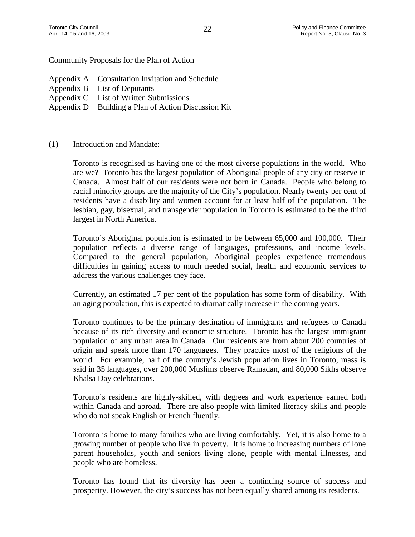Community Proposals for the Plan of Action

- Appendix A Consultation Invitation and Schedule
- Appendix B List of Deputants
- Appendix C List of Written Submissions
- Appendix D Building a Plan of Action Discussion Kit

(1) Introduction and Mandate:

Toronto is recognised as having one of the most diverse populations in the world. Who are we? Toronto has the largest population of Aboriginal people of any city or reserve in Canada. Almost half of our residents were not born in Canada. People who belong to racial minority groups are the majority of the City's population. Nearly twenty per cent of residents have a disability and women account for at least half of the population. The lesbian, gay, bisexual, and transgender population in Toronto is estimated to be the third largest in North America.

Toronto's Aboriginal population is estimated to be between 65,000 and 100,000. Their population reflects a diverse range of languages, professions, and income levels. Compared to the general population, Aboriginal peoples experience tremendous difficulties in gaining access to much needed social, health and economic services to address the various challenges they face.

Currently, an estimated 17 per cent of the population has some form of disability. With an aging population, this is expected to dramatically increase in the coming years.

Toronto continues to be the primary destination of immigrants and refugees to Canada because of its rich diversity and economic structure. Toronto has the largest immigrant population of any urban area in Canada. Our residents are from about 200 countries of origin and speak more than 170 languages. They practice most of the religions of the world. For example, half of the country's Jewish population lives in Toronto, mass is said in 35 languages, over 200,000 Muslims observe Ramadan, and 80,000 Sikhs observe Khalsa Day celebrations.

Toronto's residents are highly-skilled, with degrees and work experience earned both within Canada and abroad. There are also people with limited literacy skills and people who do not speak English or French fluently.

Toronto is home to many families who are living comfortably. Yet, it is also home to a growing number of people who live in poverty. It is home to increasing numbers of lone parent households, youth and seniors living alone, people with mental illnesses, and people who are homeless.

Toronto has found that its diversity has been a continuing source of success and prosperity. However, the city's success has not been equally shared among its residents.

\_\_\_\_\_\_\_\_\_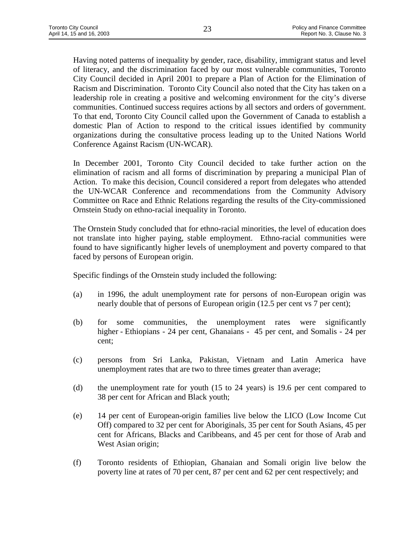Having noted patterns of inequality by gender, race, disability, immigrant status and level of literacy, and the discrimination faced by our most vulnerable communities, Toronto City Council decided in April 2001 to prepare a Plan of Action for the Elimination of Racism and Discrimination. Toronto City Council also noted that the City has taken on a leadership role in creating a positive and welcoming environment for the city's diverse communities. Continued success requires actions by all sectors and orders of government. To that end, Toronto City Council called upon the Government of Canada to establish a domestic Plan of Action to respond to the critical issues identified by community organizations during the consultative process leading up to the United Nations World Conference Against Racism (UN-WCAR).

In December 2001, Toronto City Council decided to take further action on the elimination of racism and all forms of discrimination by preparing a municipal Plan of Action. To make this decision, Council considered a report from delegates who attended the UN-WCAR Conference and recommendations from the Community Advisory Committee on Race and Ethnic Relations regarding the results of the City-commissioned Ornstein Study on ethno-racial inequality in Toronto.

The Ornstein Study concluded that for ethno-racial minorities, the level of education does not translate into higher paying, stable employment. Ethno-racial communities were found to have significantly higher levels of unemployment and poverty compared to that faced by persons of European origin.

Specific findings of the Ornstein study included the following:

- (a) in 1996, the adult unemployment rate for persons of non-European origin was nearly double that of persons of European origin (12.5 per cent vs 7 per cent);
- (b) for some communities, the unemployment rates were significantly higher - Ethiopians - 24 per cent, Ghanaians - 45 per cent, and Somalis - 24 per cent;
- (c) persons from Sri Lanka, Pakistan, Vietnam and Latin America have unemployment rates that are two to three times greater than average;
- (d) the unemployment rate for youth (15 to 24 years) is 19.6 per cent compared to 38 per cent for African and Black youth;
- (e) 14 per cent of European-origin families live below the LICO (Low Income Cut Off) compared to 32 per cent for Aboriginals, 35 per cent for South Asians, 45 per cent for Africans, Blacks and Caribbeans, and 45 per cent for those of Arab and West Asian origin;
- (f) Toronto residents of Ethiopian, Ghanaian and Somali origin live below the poverty line at rates of 70 per cent, 87 per cent and 62 per cent respectively; and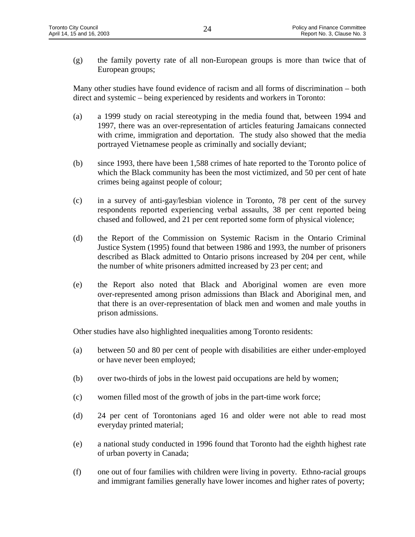(g) the family poverty rate of all non-European groups is more than twice that of European groups;

Many other studies have found evidence of racism and all forms of discrimination – both direct and systemic – being experienced by residents and workers in Toronto:

- (a) a 1999 study on racial stereotyping in the media found that, between 1994 and 1997, there was an over-representation of articles featuring Jamaicans connected with crime, immigration and deportation. The study also showed that the media portrayed Vietnamese people as criminally and socially deviant;
- (b) since 1993, there have been 1,588 crimes of hate reported to the Toronto police of which the Black community has been the most victimized, and 50 per cent of hate crimes being against people of colour;
- (c) in a survey of anti-gay/lesbian violence in Toronto, 78 per cent of the survey respondents reported experiencing verbal assaults, 38 per cent reported being chased and followed, and 21 per cent reported some form of physical violence;
- (d) the Report of the Commission on Systemic Racism in the Ontario Criminal Justice System (1995) found that between 1986 and 1993, the number of prisoners described as Black admitted to Ontario prisons increased by 204 per cent, while the number of white prisoners admitted increased by 23 per cent; and
- (e) the Report also noted that Black and Aboriginal women are even more over-represented among prison admissions than Black and Aboriginal men, and that there is an over-representation of black men and women and male youths in prison admissions.

Other studies have also highlighted inequalities among Toronto residents:

- (a) between 50 and 80 per cent of people with disabilities are either under-employed or have never been employed;
- (b) over two-thirds of jobs in the lowest paid occupations are held by women;
- (c) women filled most of the growth of jobs in the part-time work force;
- (d) 24 per cent of Torontonians aged 16 and older were not able to read most everyday printed material;
- (e) a national study conducted in 1996 found that Toronto had the eighth highest rate of urban poverty in Canada;
- (f) one out of four families with children were living in poverty. Ethno-racial groups and immigrant families generally have lower incomes and higher rates of poverty;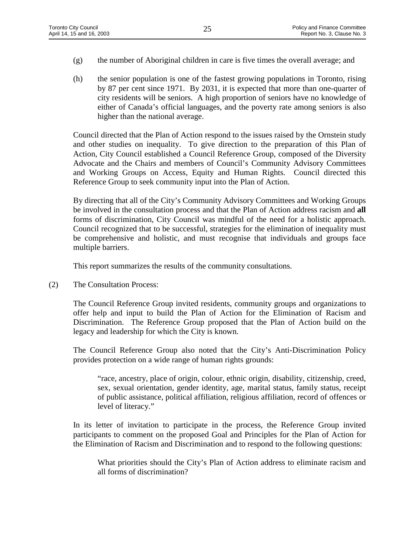- (g) the number of Aboriginal children in care is five times the overall average; and
- (h) the senior population is one of the fastest growing populations in Toronto, rising by 87 per cent since 1971. By 2031, it is expected that more than one-quarter of city residents will be seniors. A high proportion of seniors have no knowledge of either of Canada's official languages, and the poverty rate among seniors is also higher than the national average.

Council directed that the Plan of Action respond to the issues raised by the Ornstein study and other studies on inequality. To give direction to the preparation of this Plan of Action, City Council established a Council Reference Group, composed of the Diversity Advocate and the Chairs and members of Council's Community Advisory Committees and Working Groups on Access, Equity and Human Rights. Council directed this Reference Group to seek community input into the Plan of Action.

By directing that all of the City's Community Advisory Committees and Working Groups be involved in the consultation process and that the Plan of Action address racism and **all** forms of discrimination, City Council was mindful of the need for a holistic approach. Council recognized that to be successful, strategies for the elimination of inequality must be comprehensive and holistic, and must recognise that individuals and groups face multiple barriers.

This report summarizes the results of the community consultations.

(2) The Consultation Process:

The Council Reference Group invited residents, community groups and organizations to offer help and input to build the Plan of Action for the Elimination of Racism and Discrimination. The Reference Group proposed that the Plan of Action build on the legacy and leadership for which the City is known.

The Council Reference Group also noted that the City's Anti-Discrimination Policy provides protection on a wide range of human rights grounds:

"race, ancestry, place of origin, colour, ethnic origin, disability, citizenship, creed, sex, sexual orientation, gender identity, age, marital status, family status, receipt of public assistance, political affiliation, religious affiliation, record of offences or level of literacy."

In its letter of invitation to participate in the process, the Reference Group invited participants to comment on the proposed Goal and Principles for the Plan of Action for the Elimination of Racism and Discrimination and to respond to the following questions:

What priorities should the City's Plan of Action address to eliminate racism and all forms of discrimination?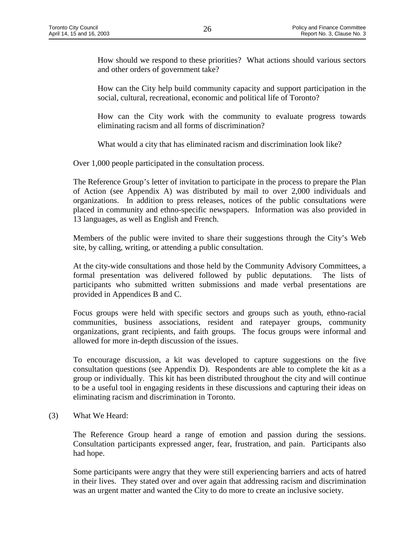How should we respond to these priorities? What actions should various sectors and other orders of government take?

How can the City help build community capacity and support participation in the social, cultural, recreational, economic and political life of Toronto?

How can the City work with the community to evaluate progress towards eliminating racism and all forms of discrimination?

What would a city that has eliminated racism and discrimination look like?

Over 1,000 people participated in the consultation process.

The Reference Group's letter of invitation to participate in the process to prepare the Plan of Action (see Appendix A) was distributed by mail to over 2,000 individuals and organizations. In addition to press releases, notices of the public consultations were placed in community and ethno-specific newspapers. Information was also provided in 13 languages, as well as English and French.

Members of the public were invited to share their suggestions through the City's Web site, by calling, writing, or attending a public consultation.

At the city-wide consultations and those held by the Community Advisory Committees, a formal presentation was delivered followed by public deputations. The lists of participants who submitted written submissions and made verbal presentations are provided in Appendices B and C.

Focus groups were held with specific sectors and groups such as youth, ethno-racial communities, business associations, resident and ratepayer groups, community organizations, grant recipients, and faith groups. The focus groups were informal and allowed for more in-depth discussion of the issues.

To encourage discussion, a kit was developed to capture suggestions on the five consultation questions (see Appendix D). Respondents are able to complete the kit as a group or individually. This kit has been distributed throughout the city and will continue to be a useful tool in engaging residents in these discussions and capturing their ideas on eliminating racism and discrimination in Toronto.

(3) What We Heard:

The Reference Group heard a range of emotion and passion during the sessions. Consultation participants expressed anger, fear, frustration, and pain. Participants also had hope.

Some participants were angry that they were still experiencing barriers and acts of hatred in their lives. They stated over and over again that addressing racism and discrimination was an urgent matter and wanted the City to do more to create an inclusive society.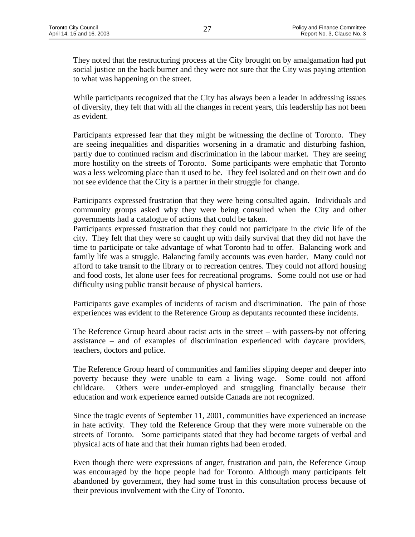They noted that the restructuring process at the City brought on by amalgamation had put social justice on the back burner and they were not sure that the City was paying attention to what was happening on the street.

While participants recognized that the City has always been a leader in addressing issues of diversity, they felt that with all the changes in recent years, this leadership has not been as evident.

Participants expressed fear that they might be witnessing the decline of Toronto. They are seeing inequalities and disparities worsening in a dramatic and disturbing fashion, partly due to continued racism and discrimination in the labour market. They are seeing more hostility on the streets of Toronto. Some participants were emphatic that Toronto was a less welcoming place than it used to be. They feel isolated and on their own and do not see evidence that the City is a partner in their struggle for change.

Participants expressed frustration that they were being consulted again. Individuals and community groups asked why they were being consulted when the City and other governments had a catalogue of actions that could be taken.

Participants expressed frustration that they could not participate in the civic life of the city. They felt that they were so caught up with daily survival that they did not have the time to participate or take advantage of what Toronto had to offer. Balancing work and family life was a struggle. Balancing family accounts was even harder. Many could not afford to take transit to the library or to recreation centres. They could not afford housing and food costs, let alone user fees for recreational programs. Some could not use or had difficulty using public transit because of physical barriers.

Participants gave examples of incidents of racism and discrimination. The pain of those experiences was evident to the Reference Group as deputants recounted these incidents.

The Reference Group heard about racist acts in the street – with passers-by not offering assistance – and of examples of discrimination experienced with daycare providers, teachers, doctors and police.

The Reference Group heard of communities and families slipping deeper and deeper into poverty because they were unable to earn a living wage. Some could not afford childcare. Others were under-employed and struggling financially because their education and work experience earned outside Canada are not recognized.

Since the tragic events of September 11, 2001, communities have experienced an increase in hate activity. They told the Reference Group that they were more vulnerable on the streets of Toronto. Some participants stated that they had become targets of verbal and physical acts of hate and that their human rights had been eroded.

Even though there were expressions of anger, frustration and pain, the Reference Group was encouraged by the hope people had for Toronto. Although many participants felt abandoned by government, they had some trust in this consultation process because of their previous involvement with the City of Toronto.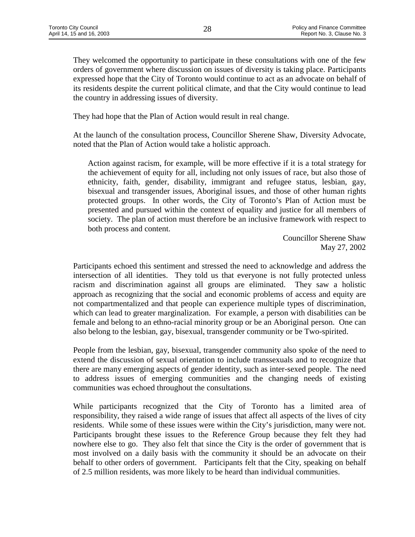They welcomed the opportunity to participate in these consultations with one of the few orders of government where discussion on issues of diversity is taking place. Participants expressed hope that the City of Toronto would continue to act as an advocate on behalf of its residents despite the current political climate, and that the City would continue to lead the country in addressing issues of diversity.

They had hope that the Plan of Action would result in real change.

At the launch of the consultation process, Councillor Sherene Shaw, Diversity Advocate, noted that the Plan of Action would take a holistic approach.

Action against racism, for example, will be more effective if it is a total strategy for the achievement of equity for all, including not only issues of race, but also those of ethnicity, faith, gender, disability, immigrant and refugee status, lesbian, gay, bisexual and transgender issues, Aboriginal issues, and those of other human rights protected groups. In other words, the City of Toronto's Plan of Action must be presented and pursued within the context of equality and justice for all members of society. The plan of action must therefore be an inclusive framework with respect to both process and content.

> Councillor Sherene Shaw May 27, 2002

Participants echoed this sentiment and stressed the need to acknowledge and address the intersection of all identities. They told us that everyone is not fully protected unless racism and discrimination against all groups are eliminated. They saw a holistic approach as recognizing that the social and economic problems of access and equity are not compartmentalized and that people can experience multiple types of discrimination, which can lead to greater marginalization. For example, a person with disabilities can be female and belong to an ethno-racial minority group or be an Aboriginal person. One can also belong to the lesbian, gay, bisexual, transgender community or be Two-spirited.

People from the lesbian, gay, bisexual, transgender community also spoke of the need to extend the discussion of sexual orientation to include transsexuals and to recognize that there are many emerging aspects of gender identity, such as inter-sexed people. The need to address issues of emerging communities and the changing needs of existing communities was echoed throughout the consultations.

While participants recognized that the City of Toronto has a limited area of responsibility, they raised a wide range of issues that affect all aspects of the lives of city residents. While some of these issues were within the City's jurisdiction, many were not. Participants brought these issues to the Reference Group because they felt they had nowhere else to go. They also felt that since the City is the order of government that is most involved on a daily basis with the community it should be an advocate on their behalf to other orders of government. Participants felt that the City, speaking on behalf of 2.5 million residents, was more likely to be heard than individual communities.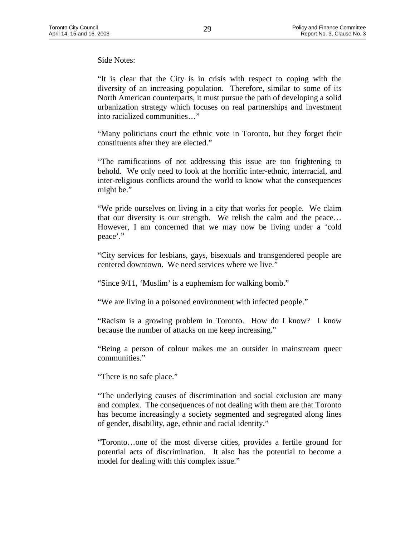Side Notes:

"It is clear that the City is in crisis with respect to coping with the diversity of an increasing population. Therefore, similar to some of its North American counterparts, it must pursue the path of developing a solid urbanization strategy which focuses on real partnerships and investment into racialized communities…"

"Many politicians court the ethnic vote in Toronto, but they forget their constituents after they are elected."

"The ramifications of not addressing this issue are too frightening to behold. We only need to look at the horrific inter-ethnic, interracial, and inter-religious conflicts around the world to know what the consequences might be."

"We pride ourselves on living in a city that works for people. We claim that our diversity is our strength. We relish the calm and the peace… However, I am concerned that we may now be living under a 'cold peace'."

"City services for lesbians, gays, bisexuals and transgendered people are centered downtown. We need services where we live."

"Since 9/11, 'Muslim' is a euphemism for walking bomb."

"We are living in a poisoned environment with infected people."

"Racism is a growing problem in Toronto. How do I know? I know because the number of attacks on me keep increasing."

"Being a person of colour makes me an outsider in mainstream queer communities."

"There is no safe place."

"The underlying causes of discrimination and social exclusion are many and complex. The consequences of not dealing with them are that Toronto has become increasingly a society segmented and segregated along lines of gender, disability, age, ethnic and racial identity."

"Toronto…one of the most diverse cities, provides a fertile ground for potential acts of discrimination. It also has the potential to become a model for dealing with this complex issue."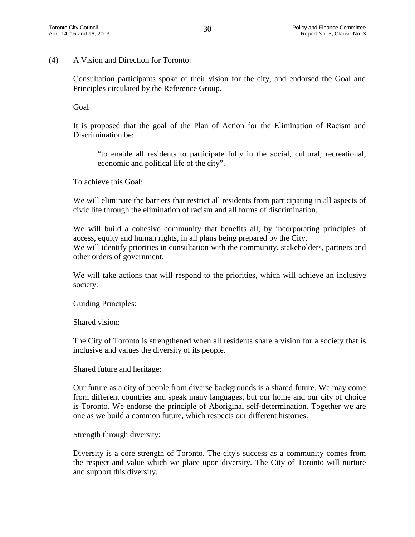(4) A Vision and Direction for Toronto:

Consultation participants spoke of their vision for the city, and endorsed the Goal and Principles circulated by the Reference Group.

Goal

It is proposed that the goal of the Plan of Action for the Elimination of Racism and Discrimination be:

"to enable all residents to participate fully in the social, cultural, recreational, economic and political life of the city".

To achieve this Goal:

We will eliminate the barriers that restrict all residents from participating in all aspects of civic life through the elimination of racism and all forms of discrimination.

We will build a cohesive community that benefits all, by incorporating principles of access, equity and human rights, in all plans being prepared by the City. We will identify priorities in consultation with the community, stakeholders, partners and other orders of government.

We will take actions that will respond to the priorities, which will achieve an inclusive society.

Guiding Principles:

Shared vision:

The City of Toronto is strengthened when all residents share a vision for a society that is inclusive and values the diversity of its people.

Shared future and heritage:

Our future as a city of people from diverse backgrounds is a shared future. We may come from different countries and speak many languages, but our home and our city of choice is Toronto. We endorse the principle of Aboriginal self-determination. Together we are one as we build a common future, which respects our different histories.

Strength through diversity:

Diversity is a core strength of Toronto. The city's success as a community comes from the respect and value which we place upon diversity. The City of Toronto will nurture and support this diversity.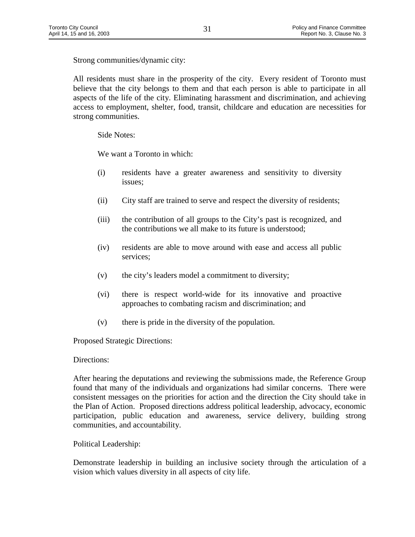Strong communities/dynamic city:

All residents must share in the prosperity of the city. Every resident of Toronto must believe that the city belongs to them and that each person is able to participate in all aspects of the life of the city. Eliminating harassment and discrimination, and achieving access to employment, shelter, food, transit, childcare and education are necessities for strong communities.

Side Notes:

We want a Toronto in which:

- (i) residents have a greater awareness and sensitivity to diversity issues;
- (ii) City staff are trained to serve and respect the diversity of residents;
- (iii) the contribution of all groups to the City's past is recognized, and the contributions we all make to its future is understood;
- (iv) residents are able to move around with ease and access all public services;
- (v) the city's leaders model a commitment to diversity;
- (vi) there is respect world-wide for its innovative and proactive approaches to combating racism and discrimination; and
- (v) there is pride in the diversity of the population.

Proposed Strategic Directions:

#### Directions:

After hearing the deputations and reviewing the submissions made, the Reference Group found that many of the individuals and organizations had similar concerns. There were consistent messages on the priorities for action and the direction the City should take in the Plan of Action. Proposed directions address political leadership, advocacy, economic participation, public education and awareness, service delivery, building strong communities, and accountability.

Political Leadership:

Demonstrate leadership in building an inclusive society through the articulation of a vision which values diversity in all aspects of city life.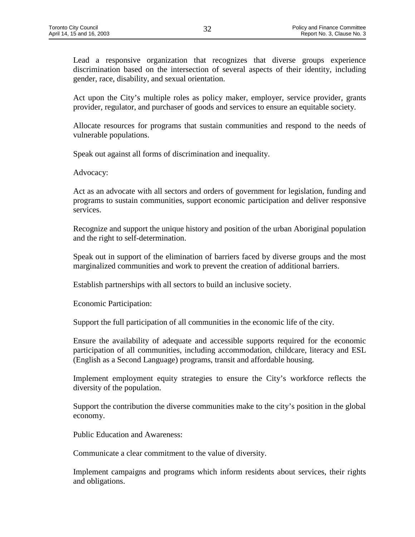Lead a responsive organization that recognizes that diverse groups experience discrimination based on the intersection of several aspects of their identity, including gender, race, disability, and sexual orientation.

Act upon the City's multiple roles as policy maker, employer, service provider, grants provider, regulator, and purchaser of goods and services to ensure an equitable society.

Allocate resources for programs that sustain communities and respond to the needs of vulnerable populations.

Speak out against all forms of discrimination and inequality.

Advocacy:

Act as an advocate with all sectors and orders of government for legislation, funding and programs to sustain communities, support economic participation and deliver responsive services.

Recognize and support the unique history and position of the urban Aboriginal population and the right to self-determination.

Speak out in support of the elimination of barriers faced by diverse groups and the most marginalized communities and work to prevent the creation of additional barriers.

Establish partnerships with all sectors to build an inclusive society.

Economic Participation:

Support the full participation of all communities in the economic life of the city.

Ensure the availability of adequate and accessible supports required for the economic participation of all communities, including accommodation, childcare, literacy and ESL (English as a Second Language) programs, transit and affordable housing.

Implement employment equity strategies to ensure the City's workforce reflects the diversity of the population.

Support the contribution the diverse communities make to the city's position in the global economy.

Public Education and Awareness:

Communicate a clear commitment to the value of diversity.

Implement campaigns and programs which inform residents about services, their rights and obligations.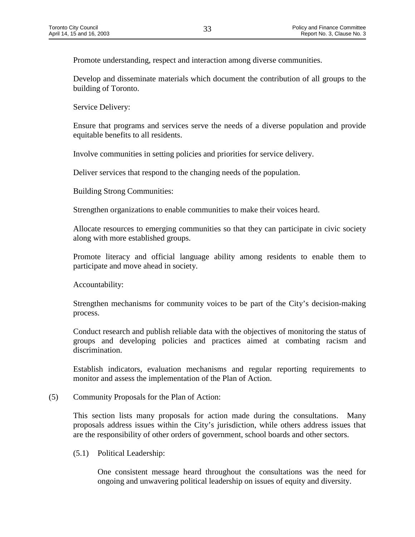Promote understanding, respect and interaction among diverse communities.

Develop and disseminate materials which document the contribution of all groups to the building of Toronto.

Service Delivery:

Ensure that programs and services serve the needs of a diverse population and provide equitable benefits to all residents.

Involve communities in setting policies and priorities for service delivery.

Deliver services that respond to the changing needs of the population.

Building Strong Communities:

Strengthen organizations to enable communities to make their voices heard.

Allocate resources to emerging communities so that they can participate in civic society along with more established groups.

Promote literacy and official language ability among residents to enable them to participate and move ahead in society.

Accountability:

Strengthen mechanisms for community voices to be part of the City's decision-making process.

Conduct research and publish reliable data with the objectives of monitoring the status of groups and developing policies and practices aimed at combating racism and discrimination.

Establish indicators, evaluation mechanisms and regular reporting requirements to monitor and assess the implementation of the Plan of Action.

(5) Community Proposals for the Plan of Action:

This section lists many proposals for action made during the consultations. Many proposals address issues within the City's jurisdiction, while others address issues that are the responsibility of other orders of government, school boards and other sectors.

(5.1) Political Leadership:

One consistent message heard throughout the consultations was the need for ongoing and unwavering political leadership on issues of equity and diversity.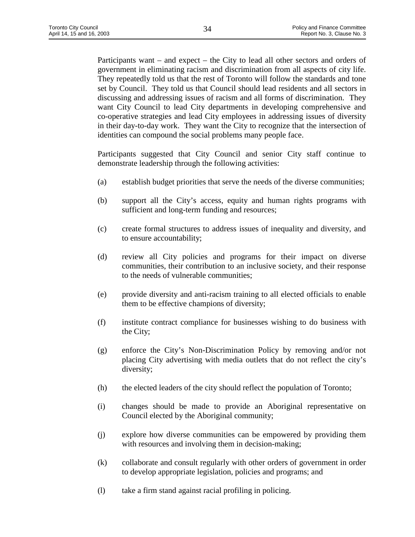Participants want – and expect – the City to lead all other sectors and orders of government in eliminating racism and discrimination from all aspects of city life. They repeatedly told us that the rest of Toronto will follow the standards and tone set by Council. They told us that Council should lead residents and all sectors in discussing and addressing issues of racism and all forms of discrimination. They want City Council to lead City departments in developing comprehensive and co-operative strategies and lead City employees in addressing issues of diversity in their day-to-day work. They want the City to recognize that the intersection of identities can compound the social problems many people face.

Participants suggested that City Council and senior City staff continue to demonstrate leadership through the following activities:

- (a) establish budget priorities that serve the needs of the diverse communities;
- (b) support all the City's access, equity and human rights programs with sufficient and long-term funding and resources;
- (c) create formal structures to address issues of inequality and diversity, and to ensure accountability;
- (d) review all City policies and programs for their impact on diverse communities, their contribution to an inclusive society, and their response to the needs of vulnerable communities;
- (e) provide diversity and anti-racism training to all elected officials to enable them to be effective champions of diversity;
- (f) institute contract compliance for businesses wishing to do business with the City;
- (g) enforce the City's Non-Discrimination Policy by removing and/or not placing City advertising with media outlets that do not reflect the city's diversity;
- (h) the elected leaders of the city should reflect the population of Toronto;
- (i) changes should be made to provide an Aboriginal representative on Council elected by the Aboriginal community;
- (j) explore how diverse communities can be empowered by providing them with resources and involving them in decision-making;
- (k) collaborate and consult regularly with other orders of government in order to develop appropriate legislation, policies and programs; and
- (l) take a firm stand against racial profiling in policing.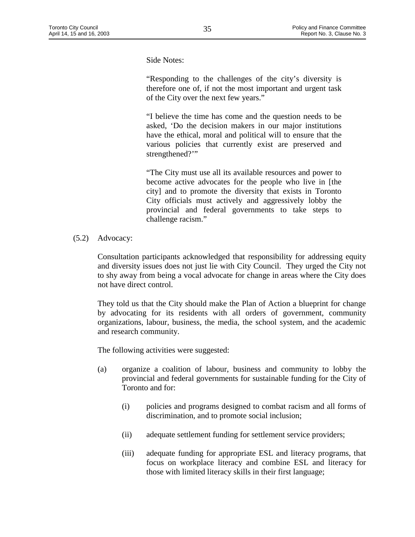Side Notes:

"Responding to the challenges of the city's diversity is therefore one of, if not the most important and urgent task of the City over the next few years."

"I believe the time has come and the question needs to be asked, 'Do the decision makers in our major institutions have the ethical, moral and political will to ensure that the various policies that currently exist are preserved and strengthened?"

"The City must use all its available resources and power to become active advocates for the people who live in [the city] and to promote the diversity that exists in Toronto City officials must actively and aggressively lobby the provincial and federal governments to take steps to challenge racism."

(5.2) Advocacy:

Consultation participants acknowledged that responsibility for addressing equity and diversity issues does not just lie with City Council. They urged the City not to shy away from being a vocal advocate for change in areas where the City does not have direct control.

They told us that the City should make the Plan of Action a blueprint for change by advocating for its residents with all orders of government, community organizations, labour, business, the media, the school system, and the academic and research community.

The following activities were suggested:

- (a) organize a coalition of labour, business and community to lobby the provincial and federal governments for sustainable funding for the City of Toronto and for:
	- (i) policies and programs designed to combat racism and all forms of discrimination, and to promote social inclusion;
	- (ii) adequate settlement funding for settlement service providers;
	- (iii) adequate funding for appropriate ESL and literacy programs, that focus on workplace literacy and combine ESL and literacy for those with limited literacy skills in their first language;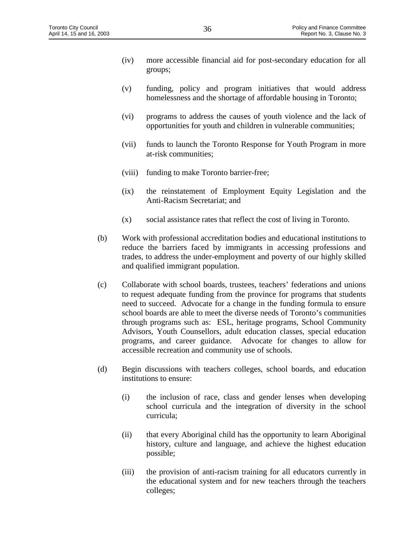- (iv) more accessible financial aid for post-secondary education for all groups;
- (v) funding, policy and program initiatives that would address homelessness and the shortage of affordable housing in Toronto;
- (vi) programs to address the causes of youth violence and the lack of opportunities for youth and children in vulnerable communities;
- (vii) funds to launch the Toronto Response for Youth Program in more at-risk communities;
- (viii) funding to make Toronto barrier-free;
- (ix) the reinstatement of Employment Equity Legislation and the Anti-Racism Secretariat; and
- (x) social assistance rates that reflect the cost of living in Toronto.
- (b) Work with professional accreditation bodies and educational institutions to reduce the barriers faced by immigrants in accessing professions and trades, to address the under-employment and poverty of our highly skilled and qualified immigrant population.
- (c) Collaborate with school boards, trustees, teachers' federations and unions to request adequate funding from the province for programs that students need to succeed. Advocate for a change in the funding formula to ensure school boards are able to meet the diverse needs of Toronto's communities through programs such as: ESL, heritage programs, School Community Advisors, Youth Counsellors, adult education classes, special education programs, and career guidance. Advocate for changes to allow for accessible recreation and community use of schools.
- (d) Begin discussions with teachers colleges, school boards, and education institutions to ensure:
	- (i) the inclusion of race, class and gender lenses when developing school curricula and the integration of diversity in the school curricula;
	- (ii) that every Aboriginal child has the opportunity to learn Aboriginal history, culture and language, and achieve the highest education possible;
	- (iii) the provision of anti-racism training for all educators currently in the educational system and for new teachers through the teachers colleges;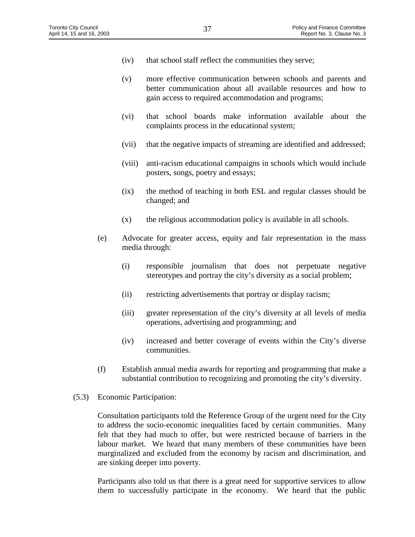- (iv) that school staff reflect the communities they serve;
- (v) more effective communication between schools and parents and better communication about all available resources and how to gain access to required accommodation and programs;
- (vi) that school boards make information available about the complaints process in the educational system;
- (vii) that the negative impacts of streaming are identified and addressed;
- (viii) anti-racism educational campaigns in schools which would include posters, songs, poetry and essays;
- (ix) the method of teaching in both ESL and regular classes should be changed; and
- $(x)$  the religious accommodation policy is available in all schools.
- (e) Advocate for greater access, equity and fair representation in the mass media through:
	- (i) responsible journalism that does not perpetuate negative stereotypes and portray the city's diversity as a social problem;
	- (ii) restricting advertisements that portray or display racism;
	- (iii) greater representation of the city's diversity at all levels of media operations, advertising and programming; and
	- (iv) increased and better coverage of events within the City's diverse communities.
- (f) Establish annual media awards for reporting and programming that make a substantial contribution to recognizing and promoting the city's diversity.
- (5.3) Economic Participation:

Consultation participants told the Reference Group of the urgent need for the City to address the socio-economic inequalities faced by certain communities. Many felt that they had much to offer, but were restricted because of barriers in the labour market. We heard that many members of these communities have been marginalized and excluded from the economy by racism and discrimination, and are sinking deeper into poverty.

Participants also told us that there is a great need for supportive services to allow them to successfully participate in the economy. We heard that the public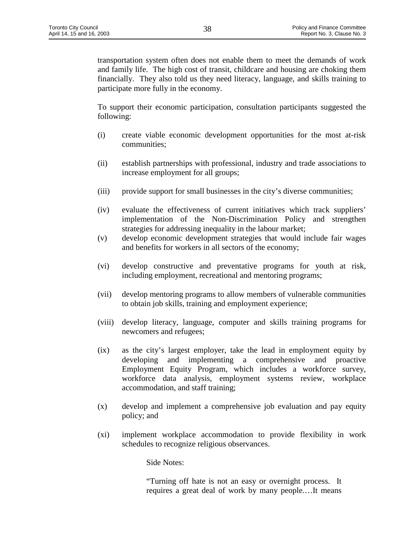transportation system often does not enable them to meet the demands of work and family life. The high cost of transit, childcare and housing are choking them financially. They also told us they need literacy, language, and skills training to participate more fully in the economy.

To support their economic participation, consultation participants suggested the following:

- (i) create viable economic development opportunities for the most at-risk communities;
- (ii) establish partnerships with professional, industry and trade associations to increase employment for all groups;
- (iii) provide support for small businesses in the city's diverse communities;
- (iv) evaluate the effectiveness of current initiatives which track suppliers' implementation of the Non-Discrimination Policy and strengthen strategies for addressing inequality in the labour market;
- (v) develop economic development strategies that would include fair wages and benefits for workers in all sectors of the economy;
- (vi) develop constructive and preventative programs for youth at risk, including employment, recreational and mentoring programs;
- (vii) develop mentoring programs to allow members of vulnerable communities to obtain job skills, training and employment experience;
- (viii) develop literacy, language, computer and skills training programs for newcomers and refugees;
- (ix) as the city's largest employer, take the lead in employment equity by developing and implementing a comprehensive and proactive Employment Equity Program, which includes a workforce survey, workforce data analysis, employment systems review, workplace accommodation, and staff training;
- (x) develop and implement a comprehensive job evaluation and pay equity policy; and
- (xi) implement workplace accommodation to provide flexibility in work schedules to recognize religious observances.

Side Notes:

"Turning off hate is not an easy or overnight process. It requires a great deal of work by many people.…It means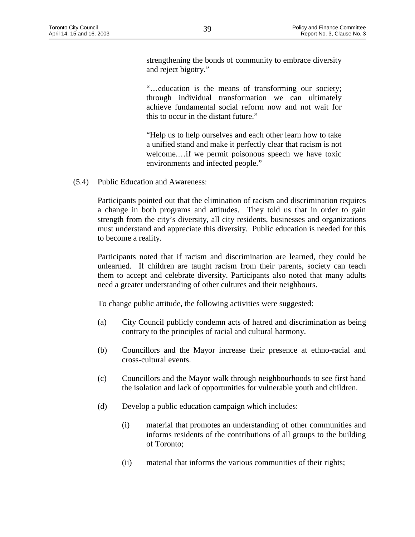strengthening the bonds of community to embrace diversity and reject bigotry."

"…education is the means of transforming our society; through individual transformation we can ultimately achieve fundamental social reform now and not wait for this to occur in the distant future."

"Help us to help ourselves and each other learn how to take a unified stand and make it perfectly clear that racism is not welcome.…if we permit poisonous speech we have toxic environments and infected people."

(5.4) Public Education and Awareness:

Participants pointed out that the elimination of racism and discrimination requires a change in both programs and attitudes. They told us that in order to gain strength from the city's diversity, all city residents, businesses and organizations must understand and appreciate this diversity. Public education is needed for this to become a reality.

Participants noted that if racism and discrimination are learned, they could be unlearned. If children are taught racism from their parents, society can teach them to accept and celebrate diversity. Participants also noted that many adults need a greater understanding of other cultures and their neighbours.

To change public attitude, the following activities were suggested:

- (a) City Council publicly condemn acts of hatred and discrimination as being contrary to the principles of racial and cultural harmony.
- (b) Councillors and the Mayor increase their presence at ethno-racial and cross-cultural events.
- (c) Councillors and the Mayor walk through neighbourhoods to see first hand the isolation and lack of opportunities for vulnerable youth and children.
- (d) Develop a public education campaign which includes:
	- (i) material that promotes an understanding of other communities and informs residents of the contributions of all groups to the building of Toronto;
	- (ii) material that informs the various communities of their rights;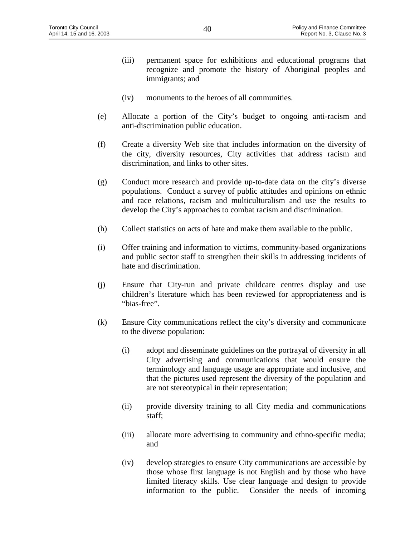- (iii) permanent space for exhibitions and educational programs that recognize and promote the history of Aboriginal peoples and immigrants; and
- (iv) monuments to the heroes of all communities.
- (e) Allocate a portion of the City's budget to ongoing anti-racism and anti-discrimination public education.
- (f) Create a diversity Web site that includes information on the diversity of the city, diversity resources, City activities that address racism and discrimination, and links to other sites.
- (g) Conduct more research and provide up-to-date data on the city's diverse populations. Conduct a survey of public attitudes and opinions on ethnic and race relations, racism and multiculturalism and use the results to develop the City's approaches to combat racism and discrimination.
- (h) Collect statistics on acts of hate and make them available to the public.
- (i) Offer training and information to victims, community-based organizations and public sector staff to strengthen their skills in addressing incidents of hate and discrimination.
- (j) Ensure that City-run and private childcare centres display and use children's literature which has been reviewed for appropriateness and is "bias-free".
- (k) Ensure City communications reflect the city's diversity and communicate to the diverse population:
	- (i) adopt and disseminate guidelines on the portrayal of diversity in all City advertising and communications that would ensure the terminology and language usage are appropriate and inclusive, and that the pictures used represent the diversity of the population and are not stereotypical in their representation;
	- (ii) provide diversity training to all City media and communications staff;
	- (iii) allocate more advertising to community and ethno-specific media; and
	- (iv) develop strategies to ensure City communications are accessible by those whose first language is not English and by those who have limited literacy skills. Use clear language and design to provide information to the public. Consider the needs of incoming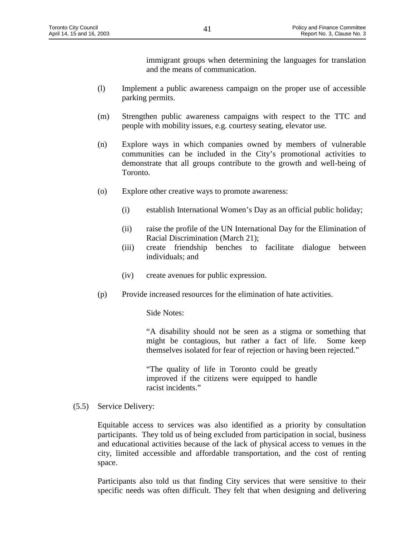immigrant groups when determining the languages for translation and the means of communication.

- (l) Implement a public awareness campaign on the proper use of accessible parking permits.
- (m) Strengthen public awareness campaigns with respect to the TTC and people with mobility issues, e.g. courtesy seating, elevator use.
- (n) Explore ways in which companies owned by members of vulnerable communities can be included in the City's promotional activities to demonstrate that all groups contribute to the growth and well-being of Toronto.
- (o) Explore other creative ways to promote awareness:
	- (i) establish International Women's Day as an official public holiday;
	- (ii) raise the profile of the UN International Day for the Elimination of Racial Discrimination (March 21);
	- (iii) create friendship benches to facilitate dialogue between individuals; and
	- (iv) create avenues for public expression.
- (p) Provide increased resources for the elimination of hate activities.

Side Notes:

"A disability should not be seen as a stigma or something that might be contagious, but rather a fact of life. Some keep themselves isolated for fear of rejection or having been rejected."

"The quality of life in Toronto could be greatly improved if the citizens were equipped to handle racist incidents."

(5.5) Service Delivery:

Equitable access to services was also identified as a priority by consultation participants. They told us of being excluded from participation in social, business and educational activities because of the lack of physical access to venues in the city, limited accessible and affordable transportation, and the cost of renting space.

Participants also told us that finding City services that were sensitive to their specific needs was often difficult. They felt that when designing and delivering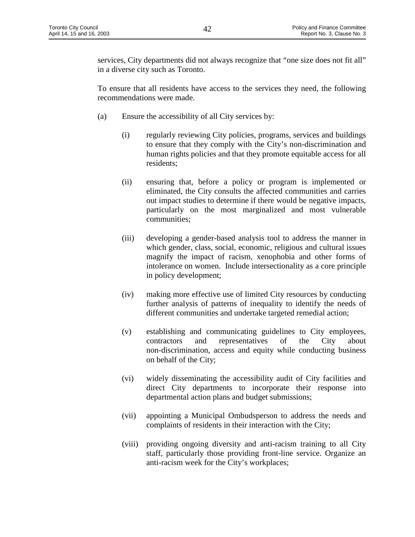services, City departments did not always recognize that "one size does not fit all" in a diverse city such as Toronto.

To ensure that all residents have access to the services they need, the following recommendations were made.

- (a) Ensure the accessibility of all City services by:
	- (i) regularly reviewing City policies, programs, services and buildings to ensure that they comply with the City's non-discrimination and human rights policies and that they promote equitable access for all residents;
	- (ii) ensuring that, before a policy or program is implemented or eliminated, the City consults the affected communities and carries out impact studies to determine if there would be negative impacts, particularly on the most marginalized and most vulnerable communities;
	- (iii) developing a gender-based analysis tool to address the manner in which gender, class, social, economic, religious and cultural issues magnify the impact of racism, xenophobia and other forms of intolerance on women. Include intersectionality as a core principle in policy development;
	- (iv) making more effective use of limited City resources by conducting further analysis of patterns of inequality to identify the needs of different communities and undertake targeted remedial action;
	- (v) establishing and communicating guidelines to City employees, contractors and representatives of the City about non-discrimination, access and equity while conducting business on behalf of the City;
	- (vi) widely disseminating the accessibility audit of City facilities and direct City departments to incorporate their response into departmental action plans and budget submissions;
	- (vii) appointing a Municipal Ombudsperson to address the needs and complaints of residents in their interaction with the City;
	- (viii) providing ongoing diversity and anti-racism training to all City staff, particularly those providing front-line service. Organize an anti-racism week for the City's workplaces;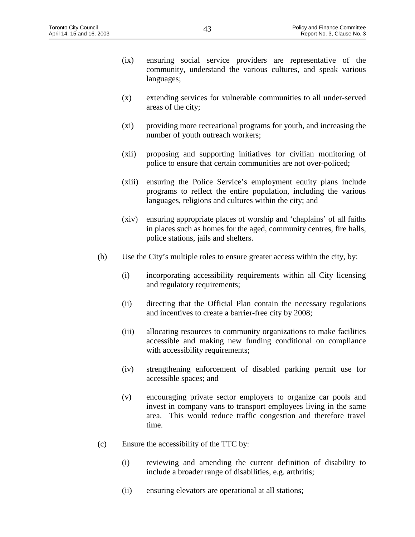- (ix) ensuring social service providers are representative of the community, understand the various cultures, and speak various languages;
- (x) extending services for vulnerable communities to all under-served areas of the city;
- (xi) providing more recreational programs for youth, and increasing the number of youth outreach workers;
- (xii) proposing and supporting initiatives for civilian monitoring of police to ensure that certain communities are not over-policed;
- (xiii) ensuring the Police Service's employment equity plans include programs to reflect the entire population, including the various languages, religions and cultures within the city; and
- (xiv) ensuring appropriate places of worship and 'chaplains' of all faiths in places such as homes for the aged, community centres, fire halls, police stations, jails and shelters.
- (b) Use the City's multiple roles to ensure greater access within the city, by:
	- (i) incorporating accessibility requirements within all City licensing and regulatory requirements;
	- (ii) directing that the Official Plan contain the necessary regulations and incentives to create a barrier-free city by 2008;
	- (iii) allocating resources to community organizations to make facilities accessible and making new funding conditional on compliance with accessibility requirements;
	- (iv) strengthening enforcement of disabled parking permit use for accessible spaces; and
	- (v) encouraging private sector employers to organize car pools and invest in company vans to transport employees living in the same area. This would reduce traffic congestion and therefore travel time.
- (c) Ensure the accessibility of the TTC by:
	- (i) reviewing and amending the current definition of disability to include a broader range of disabilities, e.g. arthritis;
	- (ii) ensuring elevators are operational at all stations;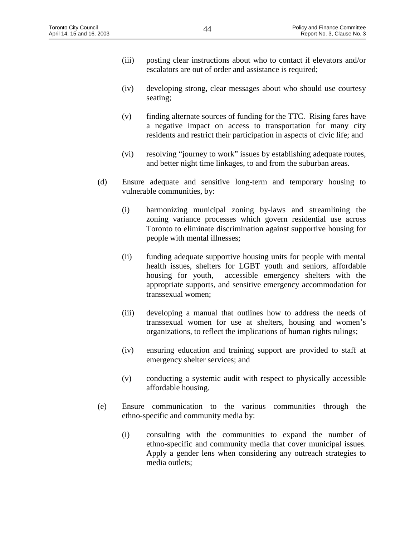- (iii) posting clear instructions about who to contact if elevators and/or escalators are out of order and assistance is required;
- (iv) developing strong, clear messages about who should use courtesy seating;
- (v) finding alternate sources of funding for the TTC. Rising fares have a negative impact on access to transportation for many city residents and restrict their participation in aspects of civic life; and
- (vi) resolving "journey to work" issues by establishing adequate routes, and better night time linkages, to and from the suburban areas.
- (d) Ensure adequate and sensitive long-term and temporary housing to vulnerable communities, by:
	- (i) harmonizing municipal zoning by-laws and streamlining the zoning variance processes which govern residential use across Toronto to eliminate discrimination against supportive housing for people with mental illnesses;
	- (ii) funding adequate supportive housing units for people with mental health issues, shelters for LGBT youth and seniors, affordable housing for youth, accessible emergency shelters with the appropriate supports, and sensitive emergency accommodation for transsexual women;
	- (iii) developing a manual that outlines how to address the needs of transsexual women for use at shelters, housing and women's organizations, to reflect the implications of human rights rulings;
	- (iv) ensuring education and training support are provided to staff at emergency shelter services; and
	- (v) conducting a systemic audit with respect to physically accessible affordable housing.
- (e) Ensure communication to the various communities through the ethno-specific and community media by:
	- (i) consulting with the communities to expand the number of ethno-specific and community media that cover municipal issues. Apply a gender lens when considering any outreach strategies to media outlets;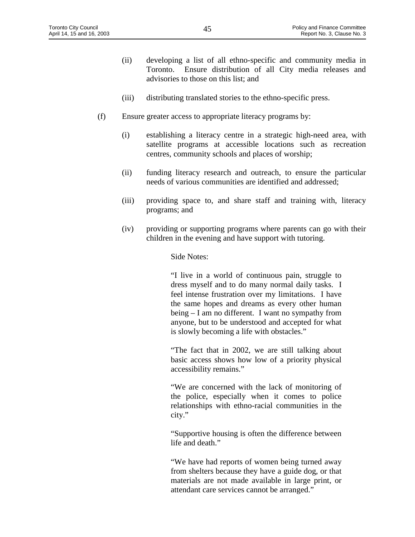- (ii) developing a list of all ethno-specific and community media in Toronto. Ensure distribution of all City media releases and advisories to those on this list; and
- (iii) distributing translated stories to the ethno-specific press.
- (f) Ensure greater access to appropriate literacy programs by:
	- (i) establishing a literacy centre in a strategic high-need area, with satellite programs at accessible locations such as recreation centres, community schools and places of worship;
	- (ii) funding literacy research and outreach, to ensure the particular needs of various communities are identified and addressed;
	- (iii) providing space to, and share staff and training with, literacy programs; and
	- (iv) providing or supporting programs where parents can go with their children in the evening and have support with tutoring.

Side Notes:

"I live in a world of continuous pain, struggle to dress myself and to do many normal daily tasks. I feel intense frustration over my limitations. I have the same hopes and dreams as every other human being – I am no different. I want no sympathy from anyone, but to be understood and accepted for what is slowly becoming a life with obstacles."

"The fact that in 2002, we are still talking about basic access shows how low of a priority physical accessibility remains."

"We are concerned with the lack of monitoring of the police, especially when it comes to police relationships with ethno-racial communities in the city."

"Supportive housing is often the difference between life and death."

"We have had reports of women being turned away from shelters because they have a guide dog, or that materials are not made available in large print, or attendant care services cannot be arranged."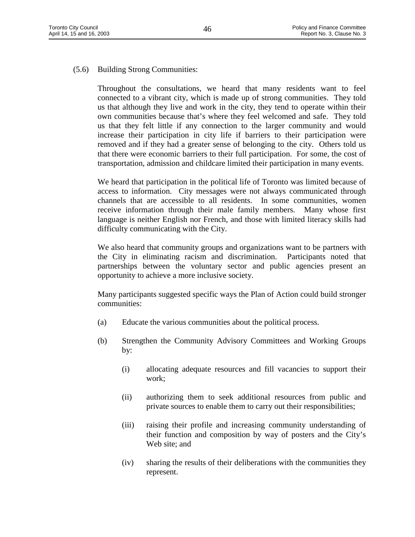# (5.6) Building Strong Communities:

Throughout the consultations, we heard that many residents want to feel connected to a vibrant city, which is made up of strong communities. They told us that although they live and work in the city, they tend to operate within their own communities because that's where they feel welcomed and safe. They told us that they felt little if any connection to the larger community and would increase their participation in city life if barriers to their participation were removed and if they had a greater sense of belonging to the city. Others told us that there were economic barriers to their full participation. For some, the cost of transportation, admission and childcare limited their participation in many events.

We heard that participation in the political life of Toronto was limited because of access to information. City messages were not always communicated through channels that are accessible to all residents. In some communities, women receive information through their male family members. Many whose first language is neither English nor French, and those with limited literacy skills had difficulty communicating with the City.

We also heard that community groups and organizations want to be partners with the City in eliminating racism and discrimination. Participants noted that partnerships between the voluntary sector and public agencies present an opportunity to achieve a more inclusive society.

Many participants suggested specific ways the Plan of Action could build stronger communities:

- (a) Educate the various communities about the political process.
- (b) Strengthen the Community Advisory Committees and Working Groups by:
	- (i) allocating adequate resources and fill vacancies to support their work;
	- (ii) authorizing them to seek additional resources from public and private sources to enable them to carry out their responsibilities;
	- (iii) raising their profile and increasing community understanding of their function and composition by way of posters and the City's Web site; and
	- (iv) sharing the results of their deliberations with the communities they represent.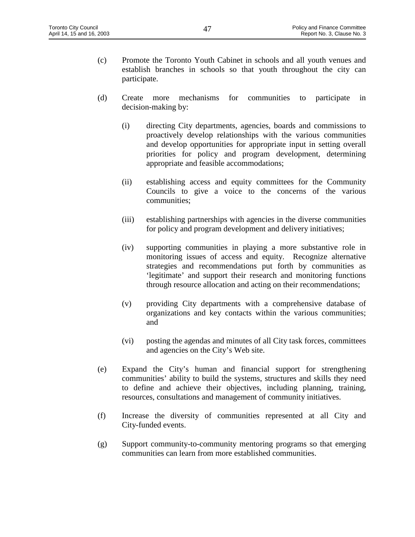- (c) Promote the Toronto Youth Cabinet in schools and all youth venues and establish branches in schools so that youth throughout the city can participate.
- (d) Create more mechanisms for communities to participate in decision-making by:
	- (i) directing City departments, agencies, boards and commissions to proactively develop relationships with the various communities and develop opportunities for appropriate input in setting overall priorities for policy and program development, determining appropriate and feasible accommodations;
	- (ii) establishing access and equity committees for the Community Councils to give a voice to the concerns of the various communities;
	- (iii) establishing partnerships with agencies in the diverse communities for policy and program development and delivery initiatives;
	- (iv) supporting communities in playing a more substantive role in monitoring issues of access and equity. Recognize alternative strategies and recommendations put forth by communities as 'legitimate' and support their research and monitoring functions through resource allocation and acting on their recommendations;
	- (v) providing City departments with a comprehensive database of organizations and key contacts within the various communities; and
	- (vi) posting the agendas and minutes of all City task forces, committees and agencies on the City's Web site.
- (e) Expand the City's human and financial support for strengthening communities' ability to build the systems, structures and skills they need to define and achieve their objectives, including planning, training, resources, consultations and management of community initiatives.
- (f) Increase the diversity of communities represented at all City and City-funded events.
- (g) Support community-to-community mentoring programs so that emerging communities can learn from more established communities.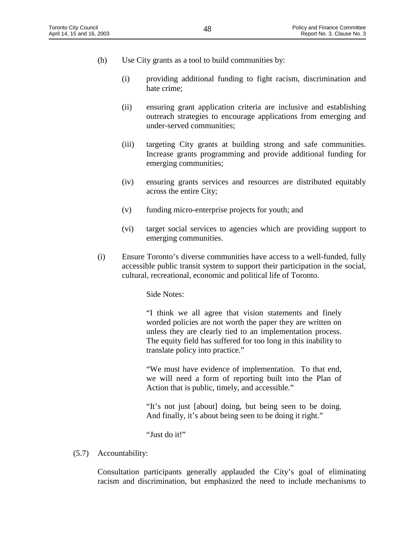- (h) Use City grants as a tool to build communities by:
	- (i) providing additional funding to fight racism, discrimination and hate crime;
	- (ii) ensuring grant application criteria are inclusive and establishing outreach strategies to encourage applications from emerging and under-served communities;
	- (iii) targeting City grants at building strong and safe communities. Increase grants programming and provide additional funding for emerging communities;
	- (iv) ensuring grants services and resources are distributed equitably across the entire City;
	- (v) funding micro-enterprise projects for youth; and
	- (vi) target social services to agencies which are providing support to emerging communities.
- (i) Ensure Toronto's diverse communities have access to a well-funded, fully accessible public transit system to support their participation in the social, cultural, recreational, economic and political life of Toronto.

Side Notes:

"I think we all agree that vision statements and finely worded policies are not worth the paper they are written on unless they are clearly tied to an implementation process. The equity field has suffered for too long in this inability to translate policy into practice."

"We must have evidence of implementation. To that end, we will need a form of reporting built into the Plan of Action that is public, timely, and accessible."

"It's not just [about] doing, but being seen to be doing. And finally, it's about being seen to be doing it right."

"Just do it!"

(5.7) Accountability:

Consultation participants generally applauded the City's goal of eliminating racism and discrimination, but emphasized the need to include mechanisms to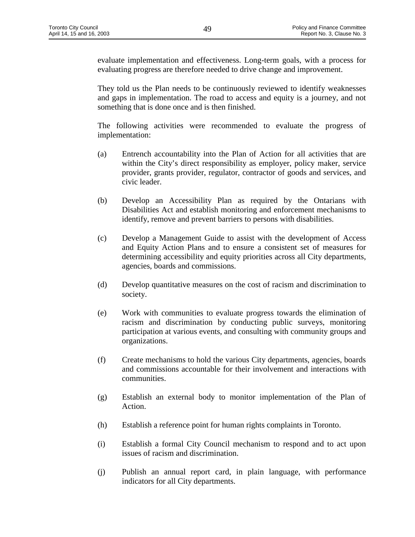evaluate implementation and effectiveness. Long-term goals, with a process for evaluating progress are therefore needed to drive change and improvement.

They told us the Plan needs to be continuously reviewed to identify weaknesses and gaps in implementation. The road to access and equity is a journey, and not something that is done once and is then finished.

The following activities were recommended to evaluate the progress of implementation:

- (a) Entrench accountability into the Plan of Action for all activities that are within the City's direct responsibility as employer, policy maker, service provider, grants provider, regulator, contractor of goods and services, and civic leader.
- (b) Develop an Accessibility Plan as required by the Ontarians with Disabilities Act and establish monitoring and enforcement mechanisms to identify, remove and prevent barriers to persons with disabilities.
- (c) Develop a Management Guide to assist with the development of Access and Equity Action Plans and to ensure a consistent set of measures for determining accessibility and equity priorities across all City departments, agencies, boards and commissions.
- (d) Develop quantitative measures on the cost of racism and discrimination to society.
- (e) Work with communities to evaluate progress towards the elimination of racism and discrimination by conducting public surveys, monitoring participation at various events, and consulting with community groups and organizations.
- (f) Create mechanisms to hold the various City departments, agencies, boards and commissions accountable for their involvement and interactions with communities.
- (g) Establish an external body to monitor implementation of the Plan of Action.
- (h) Establish a reference point for human rights complaints in Toronto.
- (i) Establish a formal City Council mechanism to respond and to act upon issues of racism and discrimination.
- (j) Publish an annual report card, in plain language, with performance indicators for all City departments.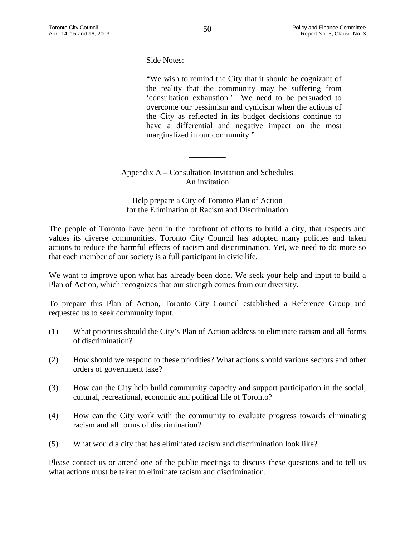Side Notes:

"We wish to remind the City that it should be cognizant of the reality that the community may be suffering from 'consultation exhaustion.' We need to be persuaded to overcome our pessimism and cynicism when the actions of the City as reflected in its budget decisions continue to have a differential and negative impact on the most marginalized in our community."

Appendix A – Consultation Invitation and Schedules An invitation

\_\_\_\_\_\_\_\_\_

Help prepare a City of Toronto Plan of Action for the Elimination of Racism and Discrimination

The people of Toronto have been in the forefront of efforts to build a city, that respects and values its diverse communities. Toronto City Council has adopted many policies and taken actions to reduce the harmful effects of racism and discrimination. Yet, we need to do more so that each member of our society is a full participant in civic life.

We want to improve upon what has already been done. We seek your help and input to build a Plan of Action, which recognizes that our strength comes from our diversity.

To prepare this Plan of Action, Toronto City Council established a Reference Group and requested us to seek community input.

- (1) What priorities should the City's Plan of Action address to eliminate racism and all forms of discrimination?
- (2) How should we respond to these priorities? What actions should various sectors and other orders of government take?
- (3) How can the City help build community capacity and support participation in the social, cultural, recreational, economic and political life of Toronto?
- (4) How can the City work with the community to evaluate progress towards eliminating racism and all forms of discrimination?
- (5) What would a city that has eliminated racism and discrimination look like?

Please contact us or attend one of the public meetings to discuss these questions and to tell us what actions must be taken to eliminate racism and discrimination.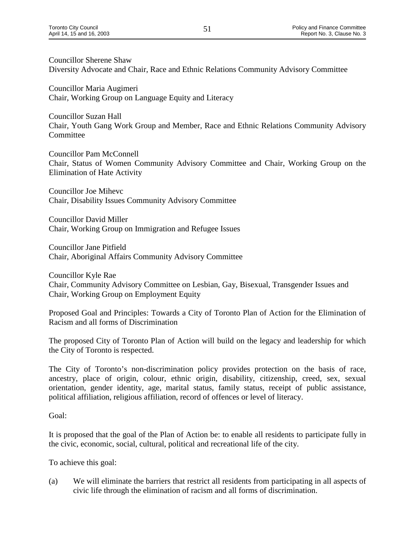Councillor Sherene Shaw Diversity Advocate and Chair, Race and Ethnic Relations Community Advisory Committee

Councillor Maria Augimeri Chair, Working Group on Language Equity and Literacy

Councillor Suzan Hall Chair, Youth Gang Work Group and Member, Race and Ethnic Relations Community Advisory Committee

Councillor Pam McConnell Chair, Status of Women Community Advisory Committee and Chair, Working Group on the Elimination of Hate Activity

Councillor Joe Mihevc Chair, Disability Issues Community Advisory Committee

Councillor David Miller Chair, Working Group on Immigration and Refugee Issues

Councillor Jane Pitfield Chair, Aboriginal Affairs Community Advisory Committee

Councillor Kyle Rae Chair, Community Advisory Committee on Lesbian, Gay, Bisexual, Transgender Issues and Chair, Working Group on Employment Equity

Proposed Goal and Principles: Towards a City of Toronto Plan of Action for the Elimination of Racism and all forms of Discrimination

The proposed City of Toronto Plan of Action will build on the legacy and leadership for which the City of Toronto is respected.

The City of Toronto's non-discrimination policy provides protection on the basis of race, ancestry, place of origin, colour, ethnic origin, disability, citizenship, creed, sex, sexual orientation, gender identity, age, marital status, family status, receipt of public assistance, political affiliation, religious affiliation, record of offences or level of literacy.

Goal:

It is proposed that the goal of the Plan of Action be: to enable all residents to participate fully in the civic, economic, social, cultural, political and recreational life of the city.

To achieve this goal:

(a) We will eliminate the barriers that restrict all residents from participating in all aspects of civic life through the elimination of racism and all forms of discrimination.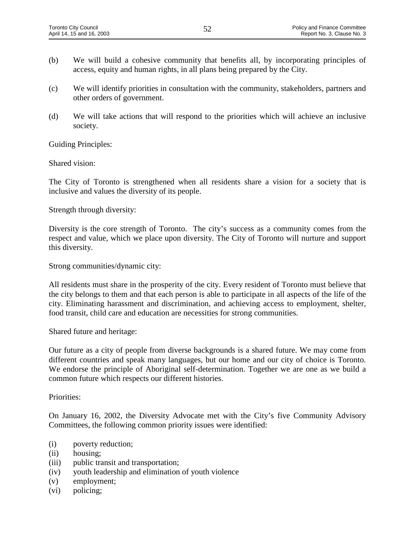- (b) We will build a cohesive community that benefits all, by incorporating principles of access, equity and human rights, in all plans being prepared by the City.
- (c) We will identify priorities in consultation with the community, stakeholders, partners and other orders of government.
- (d) We will take actions that will respond to the priorities which will achieve an inclusive society.

Guiding Principles:

Shared vision:

The City of Toronto is strengthened when all residents share a vision for a society that is inclusive and values the diversity of its people.

Strength through diversity:

Diversity is the core strength of Toronto. The city's success as a community comes from the respect and value, which we place upon diversity. The City of Toronto will nurture and support this diversity.

Strong communities/dynamic city:

All residents must share in the prosperity of the city. Every resident of Toronto must believe that the city belongs to them and that each person is able to participate in all aspects of the life of the city. Eliminating harassment and discrimination, and achieving access to employment, shelter, food transit, child care and education are necessities for strong communities.

Shared future and heritage:

Our future as a city of people from diverse backgrounds is a shared future. We may come from different countries and speak many languages, but our home and our city of choice is Toronto. We endorse the principle of Aboriginal self-determination. Together we are one as we build a common future which respects our different histories.

Priorities:

On January 16, 2002, the Diversity Advocate met with the City's five Community Advisory Committees, the following common priority issues were identified:

- (i) poverty reduction;
- (ii) housing;
- (iii) public transit and transportation;
- (iv) youth leadership and elimination of youth violence
- (v) employment;
- (vi) policing;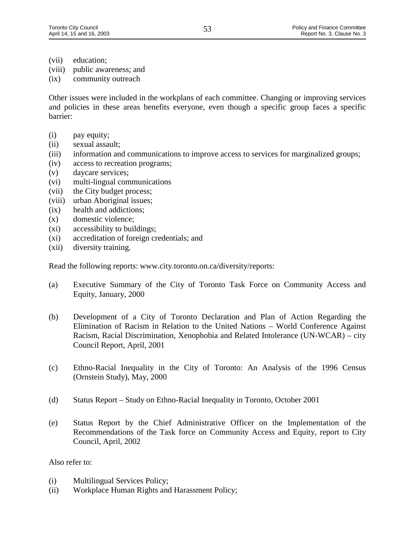- (vii) education;
- (viii) public awareness; and
- (ix) community outreach

Other issues were included in the workplans of each committee. Changing or improving services and policies in these areas benefits everyone, even though a specific group faces a specific barrier:

- (i) pay equity;
- (ii) sexual assault;
- (iii) information and communications to improve access to services for marginalized groups;
- (iv) access to recreation programs;
- (v) daycare services;
- (vi) multi-lingual communications
- (vii) the City budget process;
- (viii) urban Aboriginal issues;
- (ix) health and addictions;
- (x) domestic violence;
- (xi) accessibility to buildings;
- (xi) accreditation of foreign credentials; and
- (xii) diversity training.

Read the following reports: www.city.toronto.on.ca/diversity/reports:

- (a) Executive Summary of the City of Toronto Task Force on Community Access and Equity, January, 2000
- (b) Development of a City of Toronto Declaration and Plan of Action Regarding the Elimination of Racism in Relation to the United Nations – World Conference Against Racism, Racial Discrimination, Xenophobia and Related Intolerance (UN-WCAR) – city Council Report, April, 2001
- (c) Ethno-Racial Inequality in the City of Toronto: An Analysis of the 1996 Census (Ornstein Study), May, 2000
- (d) Status Report Study on Ethno-Racial Inequality in Toronto, October 2001
- (e) Status Report by the Chief Administrative Officer on the Implementation of the Recommendations of the Task force on Community Access and Equity, report to City Council, April, 2002

#### Also refer to:

- (i) Multilingual Services Policy;
- (ii) Workplace Human Rights and Harassment Policy;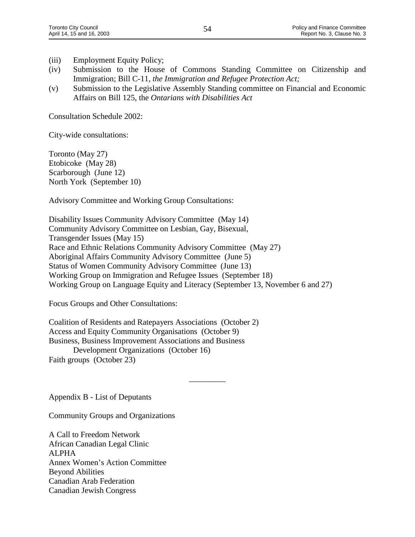- (iii) Employment Equity Policy;
- (iv) Submission to the House of Commons Standing Committee on Citizenship and Immigration; Bill C-11, *the Immigration and Refugee Protection Act;*
- (v) Submission to the Legislative Assembly Standing committee on Financial and Economic Affairs on Bill 125, the *Ontarians with Disabilities Act*

Consultation Schedule 2002:

City-wide consultations:

Toronto (May 27) Etobicoke (May 28) Scarborough (June 12) North York (September 10)

Advisory Committee and Working Group Consultations:

Disability Issues Community Advisory Committee (May 14) Community Advisory Committee on Lesbian, Gay, Bisexual, Transgender Issues (May 15) Race and Ethnic Relations Community Advisory Committee (May 27) Aboriginal Affairs Community Advisory Committee (June 5) Status of Women Community Advisory Committee (June 13) Working Group on Immigration and Refugee Issues (September 18) Working Group on Language Equity and Literacy (September 13, November 6 and 27)

 $\overline{\phantom{a}}$ 

Focus Groups and Other Consultations:

Coalition of Residents and Ratepayers Associations (October 2) Access and Equity Community Organisations (October 9) Business, Business Improvement Associations and Business Development Organizations (October 16) Faith groups (October 23)

Appendix B - List of Deputants

Community Groups and Organizations

A Call to Freedom Network African Canadian Legal Clinic ALPHA Annex Women's Action Committee Beyond Abilities Canadian Arab Federation Canadian Jewish Congress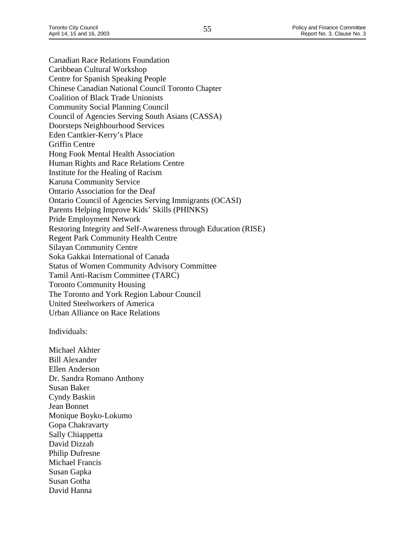Canadian Race Relations Foundation Caribbean Cultural Workshop Centre for Spanish Speaking People Chinese Canadian National Council Toronto Chapter Coalition of Black Trade Unionists Community Social Planning Council Council of Agencies Serving South Asians (CASSA) Doorsteps Neighbourhood Services Eden Cantkier-Kerry's Place Griffin Centre Hong Fook Mental Health Association Human Rights and Race Relations Centre Institute for the Healing of Racism Karuna Community Service Ontario Association for the Deaf Ontario Council of Agencies Serving Immigrants (OCASI) Parents Helping Improve Kids' Skills (PHINKS) Pride Employment Network Restoring Integrity and Self-Awareness through Education (RISE) Regent Park Community Health Centre Silayan Community Centre Soka Gakkai International of Canada Status of Women Community Advisory Committee Tamil Anti-Racism Committee (TARC) Toronto Community Housing The Toronto and York Region Labour Council United Steelworkers of America Urban Alliance on Race Relations

Individuals:

Michael Akhter Bill Alexander Ellen Anderson Dr. Sandra Romano Anthony Susan Baker Cyndy Baskin Jean Bonnet Monique Boyko-Lokumo Gopa Chakravarty Sally Chiappetta David Dizzah Philip Dufresne Michael Francis Susan Gapka Susan Gotha David Hanna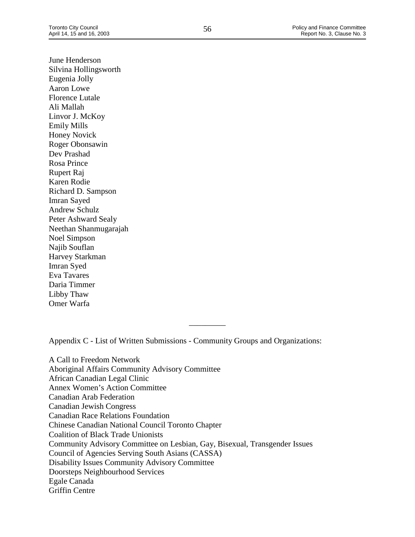June Henderson Silvina Hollingsworth Eugenia Jolly Aaron Lowe Florence Lutale Ali Mallah Linvor J. McKoy Emily Mills Honey Novick Roger Obonsawin Dev Prashad Rosa Prince Rupert Raj Karen Rodie Richard D. Sampson Imran Sayed Andrew Schulz Peter Ashward Sealy Neethan Shanmugarajah Noel Simpson Najib Souflan Harvey Starkman Imran Syed Eva Tavares Daria Timmer

Libby Thaw Omer Warfa

Appendix C - List of Written Submissions - Community Groups and Organizations:

\_\_\_\_\_\_\_\_\_

A Call to Freedom Network Aboriginal Affairs Community Advisory Committee African Canadian Legal Clinic Annex Women's Action Committee Canadian Arab Federation Canadian Jewish Congress Canadian Race Relations Foundation Chinese Canadian National Council Toronto Chapter Coalition of Black Trade Unionists Community Advisory Committee on Lesbian, Gay, Bisexual, Transgender Issues Council of Agencies Serving South Asians (CASSA) Disability Issues Community Advisory Committee Doorsteps Neighbourhood Services Egale Canada Griffin Centre